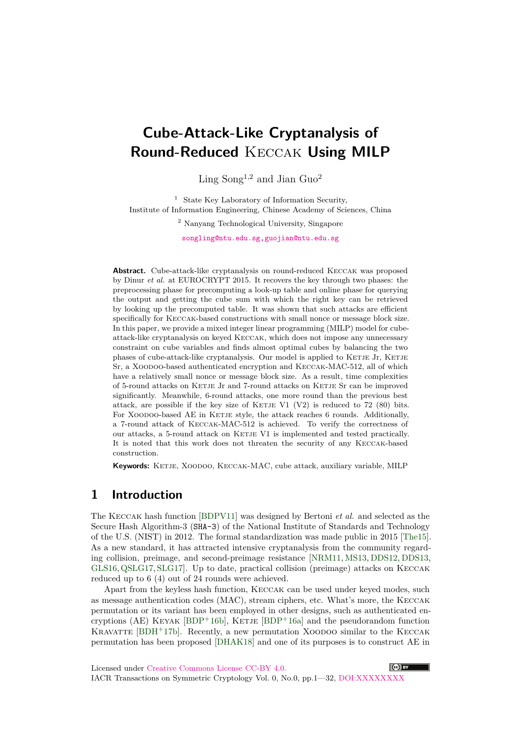# **Cube-Attack-Like Cryptanalysis of Round-Reduced** Keccak **Using MILP**

Ling Song<sup>1</sup>*,*<sup>2</sup> and Jian Guo<sup>2</sup>

<sup>1</sup> State Key Laboratory of Information Security, Institute of Information Engineering, Chinese Academy of Sciences, China

<sup>2</sup> Nanyang Technological University, Singapore

songling@ntu.edu.sg,guojian@ntu.edu.sg

Abstract. Cube-attack-like cryptanalysis on round-reduced KECCAK was proposed by Dinur *et al.* at [EUROCRYPT 2015. It recovers the key throu](mailto:songling@ntu.edu.sg, guojian@ntu.edu.sg)gh two phases: the preprocessing phase for precomputing a look-up table and online phase for querying the output and getting the cube sum with which the right key can be retrieved by looking up the precomputed table. It was shown that such attacks are efficient specifically for Keccak-based constructions with small nonce or message block size. In this paper, we provide a mixed integer linear programming (MILP) model for cubeattack-like cryptanalysis on keyed Keccak, which does not impose any unnecessary constraint on cube variables and finds almost optimal cubes by balancing the two phases of cube-attack-like cryptanalysis. Our model is applied to KETJE Jr, KETJE Sr, a Xoodoo-based authenticated encryption and Keccak-MAC-512, all of which have a relatively small nonce or message block size. As a result, time complexities of 5-round attacks on Ketje Jr and 7-round attacks on Ketje Sr can be improved significantly. Meanwhile, 6-round attacks, one more round than the previous best attack, are possible if the key size of KETJE V1 (V2) is reduced to  $72$  (80) bits. For XOODOO-based AE in KETJE style, the attack reaches 6 rounds. Additionally, a 7-round attack of Keccak-MAC-512 is achieved. To verify the correctness of our attacks, a 5-round attack on KETJE V1 is implemented and tested practically. It is noted that this work does not threaten the security of any Keccak-based construction.

Keywords: KETJE, XOODOO, KECCAK-MAC, cube attack, auxiliary variable, MILP

## **1 Introduction**

The Keccak hash function [BDPV11] was designed by Bertoni *et al.* and selected as the Secure Hash Algorithm-3 (SHA-3) of the National Institute of Standards and Technology of the U.S. (NIST) in 2012. The formal standardization was made public in 2015 [The15]. As a new standard, it has attracted intensive cryptanalysis from the community regarding collision, preimage, and [second-pr](#page-19-0)eimage resistance [NRM11, MS13, DDS12, DDS13, GLS16,QSLG17, SLG17]. Up to date, practical collision (preimage) attacks on Keccak reduced up to 6 (4) out of 24 rounds were achieved.

Apart from the keyless hash function, Keccak can be used under keyed modes, such as message authentication codes (MAC), stream ciphers, [etc. Wha](#page-21-0)[t's mo](#page-20-0)[re, the](#page-20-1) [Keccak](#page-20-2) [permut](#page-20-3)[ation or i](#page-21-1)[ts varian](#page-21-2)t has been employed in other designs, such as authenticated encryptions (AE) KEYAK [BDP+16b], KETJE [BDP+16a] and the pseudorandom function KRAVATTE  $[BDH^+17b]$ . Recently, a new permutation XOODOO similar to the KECCAK permutation has been proposed [DHAK18] and one of its purposes is to construct AE in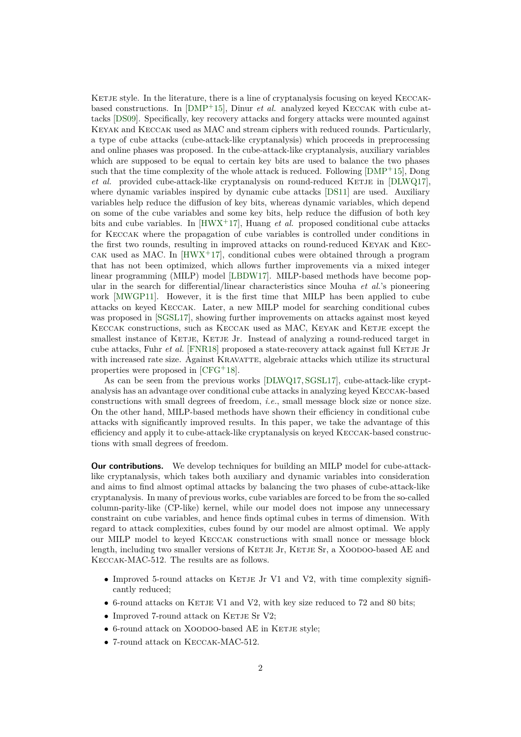KETJE style. In the literature, there is a line of cryptanalysis focusing on keyed KECCAKbased constructions. In [DMP+15], Dinur *et al.* analyzed keyed Keccak with cube attacks [DS09]. Specifically, key recovery attacks and forgery attacks were mounted against Keyak and Keccak used as MAC and stream ciphers with reduced rounds. Particularly, a type of cube attacks (cube-attack-like cryptanalysis) which proceeds in preprocessing and online phases was pr[oposed. In](#page-20-4) the cube-attack-like cryptanalysis, auxiliary variables which [are su](#page-20-5)pposed to be equal to certain key bits are used to balance the two phases such that the time complexity of the whole attack is reduced. Following  $[DMP+15]$ , Dong *et al.* provided cube-attack-like cryptanalysis on round-reduced KETJE in  $[DLWQ17]$ , where dynamic variables inspired by dynamic cube attacks [DS11] are used. Auxiliary variables help reduce the diffusion of key bits, whereas dynamic variables, which depend on some of the cube variables and some key bits, help reduce the diff[usion of bo](#page-20-4)th key bits and cube variables. In  $[HWX^+17]$ , Huang *et al.* proposed conditional cu[be attack](#page-20-6)s for Keccak where the propagation of cube variables is con[trolled](#page-20-7) under conditions in the first two rounds, resulting in improved attacks on round-reduced Keyak and Kec-CAK used as MAC. In  $[HWX^+17]$ , conditional cubes were obtained through a program that has not been optimize[d, which a](#page-20-8)llows further improvements via a mixed integer linear programming (MILP) model [LBDW17]. MILP-based methods have become popular in the search for differential/linear characteristics since Mouha *et al.*'s pioneering work [MWGP11]. Ho[wever, it is](#page-20-8) the first time that MILP has been applied to cube attacks on keyed Keccak. Later, a new MILP model for searching conditional cubes was proposed in [SGSL17], showing [further im](#page-20-9)provements on attacks against most keyed KECCAK constructions, such as KECCAK used as MAC, KEYAK and KETJE except the smalle[st instance](#page-21-3) of KETJE, KETJE Jr. Instead of analyzing a round-reduced target in cube attacks, Fuhr *et al.* [FNR18] proposed a state-recovery attack against full KETJE Jr with increased ra[te size. A](#page-21-4)gainst KRAVATTE, algebraic attacks which utilize its structural properties were proposed in [CFG<sup>+</sup>18].

As can be seen from the previous works [DLWQ17, SGSL17], cube-attack-like cryptanalysis has an advantage [over con](#page-20-10)ditional cube attacks in analyzing keyed Keccak-based constructions with small degrees of freedom, *i.e.*, small message block size or nonce size. On the other hand, MILP-ba[sed meth](#page-20-11)ods have shown their efficiency in conditional cube attacks with significantly improved results. I[n this pap](#page-20-6)[er, we ta](#page-21-4)ke the advantage of this efficiency and apply it to cube-attack-like cryptanalysis on keyed Keccak-based constructions with small degrees of freedom.

**Our contributions.** We develop techniques for building an MILP model for cube-attacklike cryptanalysis, which takes both auxiliary and dynamic variables into consideration and aims to find almost optimal attacks by balancing the two phases of cube-attack-like cryptanalysis. In many of previous works, cube variables are forced to be from the so-called column-parity-like (CP-like) kernel, while our model does not impose any unnecessary constraint on cube variables, and hence finds optimal cubes in terms of dimension. With regard to attack complexities, cubes found by our model are almost optimal. We apply our MILP model to keyed Keccak constructions with small nonce or message block length, including two smaller versions of KETJE Jr, KETJE Sr, a XOODOO-based AE and Keccak-MAC-512. The results are as follows.

- Improved 5-round attacks on KETJE Jr V1 and V2, with time complexity significantly reduced;
- 6-round attacks on KETJE V1 and V2, with key size reduced to 72 and 80 bits;
- Improved 7-round attack on KETJE Sr V2;
- 6-round attack on XOODOO-based AE in KETJE style;
- *•* 7-round attack on Keccak-MAC-512.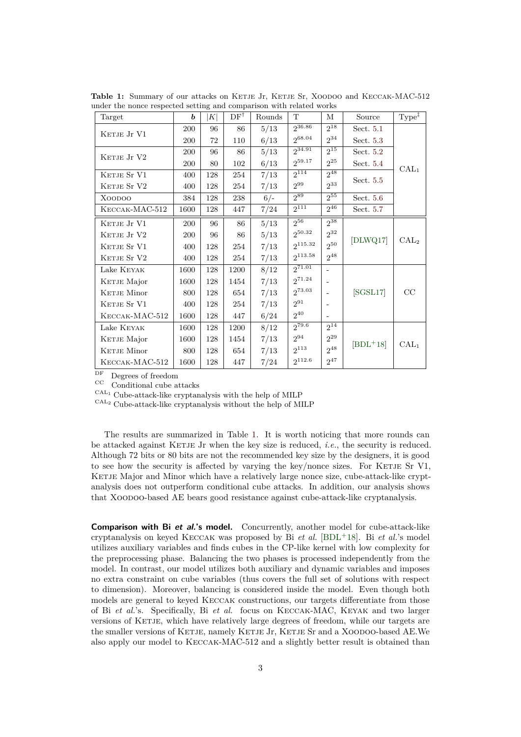<span id="page-2-0"></span>

| Target             | b    | $K\vert$ | $DF^{\dagger}$ | Rounds | T                   | М                        | Source     | $Type^{\ddagger}$ |
|--------------------|------|----------|----------------|--------|---------------------|--------------------------|------------|-------------------|
| KETJE Jr V1        | 200  | 96       | 86             | 5/13   | 236.86              | $2^{18}$                 | Sect. 5.1  |                   |
|                    | 200  | 72       | 110            | 6/13   | $2^{68.04}$         | $2^{34}$                 | Sect. 5.3  |                   |
| KETJE Jr V2        | 200  | 96       | 86             | 5/13   | $2^{34.91}$         | $2^{15}$                 | Sect. 5.2  |                   |
|                    | 200  | 80       | 102            | 6/13   | $2^{59.17}$         | $2^{25}$                 | Sect. 5.4  | $\mathrm{CAL}_1$  |
| KETJE Sr V1        | 400  | 128      | 254            | 7/13   | $2^{114}$           | $2^{48}$                 | Sect. 5.5  |                   |
| KETJE Sr V2        | 400  | 128      | 254            | 7/13   | $2^{99}$            | $2^{33}$                 |            |                   |
| XOODOO             | 384  | 128      | 238            | $6/-$  | $2^{89}$            | $2^{55}$                 | Sect. 5.6  |                   |
| KECCAK-MAC-512     | 1600 | 128      | 447            | 7/24   | $2^{111}$           | $2^{46}$                 | Sect. 5.7  |                   |
| KETJE Jr V1        | 200  | 96       | 86             | 5/13   | $\overline{2^{56}}$ | $2^{38}$                 |            |                   |
| KETJE Jr V2        | 200  | 96       | 86             | 5/13   | $2^{50.32}$         | $2^{32}$                 |            |                   |
| KETJE Sr V1        | 400  | 128      | 254            | 7/13   | $2^{115.32}$        | $2^{50}$                 | [DLWQ17]   | $\mathrm{CAL}_2$  |
| KETJE Sr V2        | 400  | 128      | 254            | 7/13   | $2^{113.58}$        | $2^{48}$                 |            |                   |
| Lake KEYAK         | 1600 | 128      | 1200           | 8/12   | 271.01              |                          |            |                   |
| KETJE Major        | 1600 | 128      | 1454           | 7/13   | 271.24              | $\overline{\phantom{a}}$ |            |                   |
| KETJE Minor        | 800  | 128      | 654            | 7/13   | $2^{73.03}$         |                          | [SGSL17]   | CC                |
| KETJE Sr V1        | 400  | 128      | 254            | 7/13   | $2^{91}$            |                          |            |                   |
| KECCAK-MAC-512     | 1600 | 128      | 447            | 6/24   | $2^{40}$            | $\overline{\phantom{a}}$ |            |                   |
| Lake KEYAK         | 1600 | 128      | 1200           | 8/12   | $2^{79.6}$          | $2^{14}$                 |            |                   |
| KETJE Major        | 1600 | 128      | 1454           | 7/13   | $2^{94}$            | $2^{29}$                 | $[BDL+18]$ | $\mathrm{CAL}_1$  |
| <b>KETJE</b> Minor | 800  | 128      | 654            | 7/13   | $2^{113}$           | $2^{48}$                 |            |                   |
| KECCAK-MAC-512     | 1600 | 128      | 447            | 7/24   | $2^{112.6}$         | $2^{47}$                 |            |                   |

Table 1: Summary of our attacks on KETJE Jr, KETJE Sr, XOODOO and KECCAK-MAC-512 under the nonce respected setting and comparison with related works

 $\frac{\text{DF}}{\text{CC}}$  Degrees of freedom

Conditional cube attacks

 $\textsc{cat}_1$  Cube-attack-like cryptanalysis with the help of MILP

 $\textsc{cat}_2$  Cube-attack-like cryptanalysis without the help of MILP

The results are summarized in Table 1. It is worth noticing that more rounds can be attacked against KETJE Jr when the key size is reduced, *i.e.*, the security is reduced. Although 72 bits or 80 bits are not the recommended key size by the designers, it is good to see how the security is affected by varying the key/nonce sizes. For KETJE Sr V1, KETJE Major and Minor which have a rel[at](#page-2-0)ively large nonce size, cube-attack-like cryptanalysis does not outperform conditional cube attacks. In addition, our analysis shows that Xoodoo-based AE bears good resistance against cube-attack-like cryptanalysis.

**Comparison with Bi et al.'s model.** Concurrently, another model for cube-attack-like cryptanalysis on keyed Keccak was proposed by Bi *et al.* [BDL<sup>+</sup>18]. Bi *et al.*'s model utilizes auxiliary variables and finds cubes in the CP-like kernel with low complexity for the preprocessing phase. Balancing the two phases is processed independently from the model. In contrast, our model utilizes both auxiliary and dynamic variables and imposes no extra constraint on cube variables (thus covers the full [set of solu](#page-19-4)tions with respect to dimension). Moreover, balancing is considered inside the model. Even though both models are general to keyed Keccak constructions, our targets differentiate from those of Bi *et al.*'s. Specifically, Bi *et al.* focus on Keccak-MAC, Keyak and two larger versions of KETJE, which have relatively large degrees of freedom, while our targets are the smaller versions of KETJE, namely KETJE Jr, KETJE Sr and a XOODOO-based AE.We also apply our model to Keccak-MAC-512 and a slightly better result is obtained than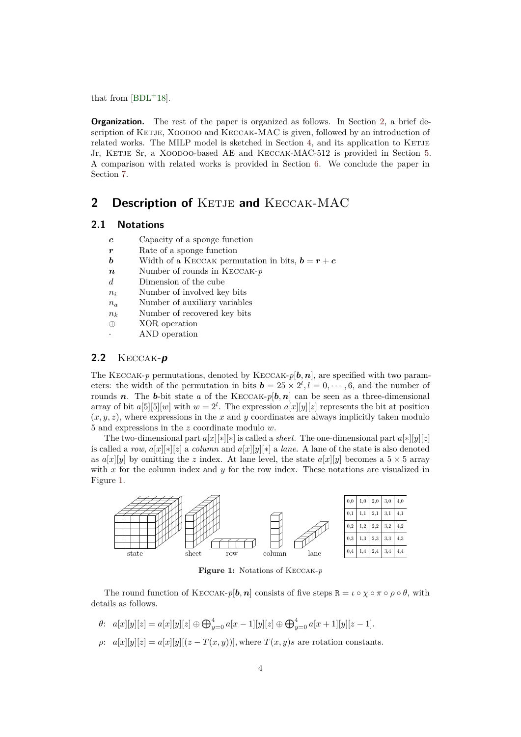that from  $[BDL+18]$ .

**Organization.** The rest of the paper is organized as follows. In Section 2, a brief description of KETJE, XOODOO and KECCAK-MAC is given, followed by an introduction of related wo[rks. The](#page-19-4) MILP model is sketched in Section 4, and its application to KETJE Jr, KETJE Sr, a XOODOO-based AE and KECCAK-MAC-512 is provided in Section 5. A comparison with related works is provided in Section 6. We conclude [t](#page-3-0)he paper in Section 7.

## 2 Description of KETJE and KECCAK[-M](#page-17-0)AC

### <span id="page-3-0"></span>**2.1 [No](#page-18-0)tations**

- *c* Capacity of a sponge function
- *r* Rate of a sponge function
- *b* Width of a KECCAK permutation in bits,  $\mathbf{b} = \mathbf{r} + \mathbf{c}$
- *n* Number of rounds in Keccak-*p*
- *d* Dimension of the cube
- *n<sup>i</sup>* Number of involved key bits
- *n<sup>a</sup>* Number of auxiliary variables
- *n<sup>k</sup>* Number of recovered key bits
- *⊕* XOR operation
	- *·* AND operation

### **2.2** Keccak**-p**

The KECCAK-*p* permutations, denoted by KECCAK- $p[\boldsymbol{b}, \boldsymbol{n}]$ , are specified with two parameters: the width of the permutation in bits  $\mathbf{b} = 25 \times 2^{l}, l = 0, \cdots, 6$ , and the number of rounds **n**. The **b**-bit state a of the KECCAK-p[**b**, **n**] can be seen as a three-dimensional array of bit  $a[5][5][w]$  with  $w=2^l$ . The expression  $a[x][y][z]$  represents the bit at position  $(x, y, z)$ , where expressions in the  $x$  and  $y$  coordinates are always implicitly taken modulo 5 and expressions in the *z* coordinate modulo *w*.

The two-dimensional part  $a[x][*][*]$  is called a *sheet*. The one-dimensional part  $a[*][y][z]$ is called a *row*,  $a[x][*][z]$  a *column* and  $a[x][y][*]$  a *lane*. A lane of the state is also denoted as  $a[x][y]$  by omitting the *z* index. At lane level, the state  $a[x][y]$  becomes a  $5 \times 5$  array with *x* for the column index and *y* for the row index. These notations are visualized in Figure 1.



**Figure 1:** Notations of Keccak-*p*

The round function of KECCAK- $p[\mathbf{b}, \mathbf{n}]$  consists of five steps  $\mathbf{R} = \iota \circ \chi \circ \pi \circ \rho \circ \theta$ , with details as follows.

- $\theta$ :  $a[x][y][z] = a[x][y][z] \oplus \bigoplus_{y=0}^{4} a[x-1][y][z] \oplus \bigoplus_{y=0}^{4} a[x+1][y][z-1]$ .
- $\rho: a[x][y][z] = a[x][y][(z-T(x,y))]$ , where  $T(x,y)s$  are rotation constants.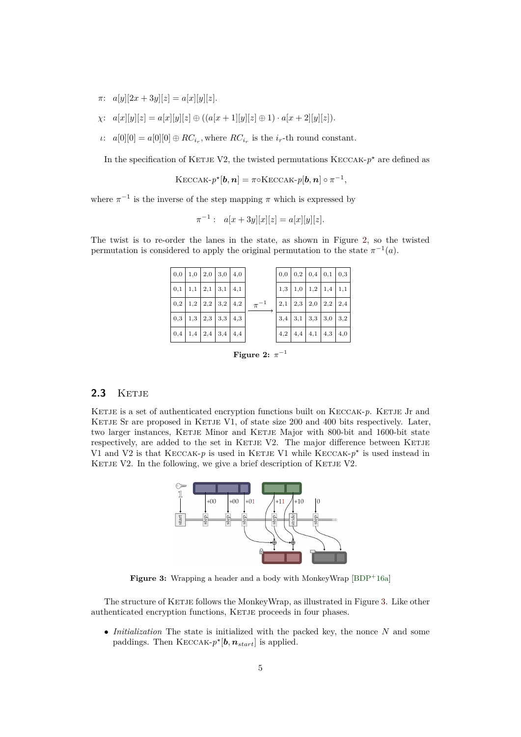- $\pi$ :  $a[y][2x+3y][z] = a[x][y][z].$
- *χ*:  $a[x][y][z] = a[x][y][z] \oplus ((a[x + 1)[y][z] \oplus 1) \cdot a[x + 2][y][z]).$
- *ι*:  $a[0][0] = a[0][0] \oplus RC_{i_r}$ , where  $RC_{i_r}$  is the *i<sub>r</sub>*-th round constant.

In the specification of KETJE V2, the twisted permutations KECCAK- $p^*$  are defined as

$$
\mathrm{KECCAK}\text{-} p^\star[\boldsymbol{b},\boldsymbol{n}]=\pi\circ\mathrm{KECCAK}\text{-} p[\boldsymbol{b},\boldsymbol{n}]\circ\pi^{-1},
$$

where  $\pi^{-1}$  is the inverse of the step mapping  $\pi$  which is expressed by

 $\pi^{-1}$ :  $a[x+3y][x][z] = a[x][y][z].$ 

The twist is to re-order the lanes in the state, as shown in Figure 2, so the twisted permutation is considered to apply the original permutation to the state  $\pi^{-1}(a)$ .

| $\vert 0,0 \vert 1,0 \vert 2,0 \vert 3,0 \vert 4,0$ |  |  |            | $0,0 \mid 0,2 \mid 0,4 \mid 0,1 \mid 0,3$ |  |  |
|-----------------------------------------------------|--|--|------------|-------------------------------------------|--|--|
| $\vert 0,1 \vert 1,1 \vert 2,1 \vert 3,1 \vert 4,1$ |  |  | $\pi^{-1}$ | $1,3$ 1,0 1,2 1,4 1,1                     |  |  |
|                                                     |  |  |            | $2,1$   $2,3$   $2,0$   $2,2$   $2,4$     |  |  |
|                                                     |  |  |            | $3,4$ 3,1 3,3 3,0 3,2                     |  |  |
| 0,4 1,4 2,4 3,4 4,4                                 |  |  |            | $4,2$   $4,4$   $4,1$   $4,3$   $4,0$     |  |  |

Figure 2:  $\pi^{-1}$ 

### 2.3 KETJE

KETJE is a set of authenticated encryption functions built on KECCAK-p. KETJE Jr and KETJE Sr are proposed in KETJE V1, of state size 200 and 400 bits respectively. Later, two larger instances, KETJE Minor and KETJE Major with 800-bit and 1600-bit state respectively, are added to the set in KETJE V2. The major difference between KETJE V1 and V2 is that KECCAK- $p$  is used in KETJE V1 while KECCAK- $p^*$  is used instead in KETJE V2. In the following, we give a brief description of KETJE V2.



Figure 3: Wrapping a header and a body with MonkeyWrap [BDP<sup>+</sup>16a]

The structure of KETJE follows the MonkeyWrap, as illustrated in Figure 3. Like other authenticated encryption functions, KETJE proceeds in four phases.

*• Initialization* The state is initialized with the packed key, the nonce *N* and some paddings. Then  $KECCAK-p^{\star}[b, n_{start}]$  is applied.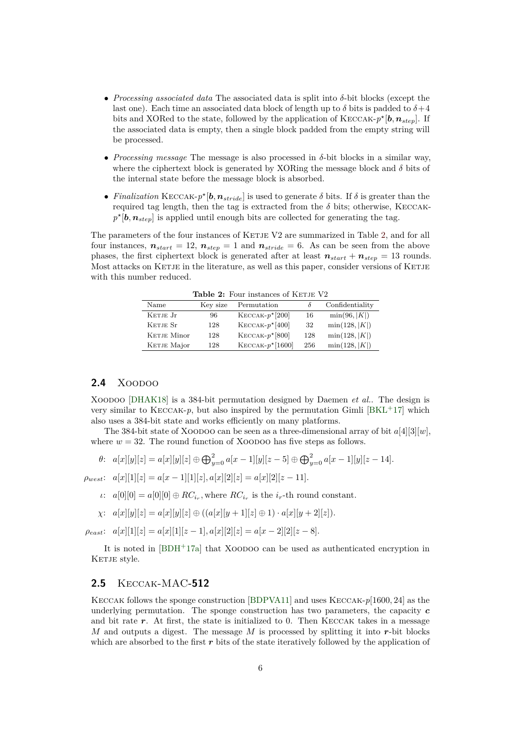- *• Processing associated data* The associated data is split into *δ*-bit blocks (except the last one). Each time an associated data block of length up to  $\delta$  bits is padded to  $\delta + 4$ bits and XORed to the state, followed by the application of KECCAK- $p^*$ [ $\boldsymbol{b}, \boldsymbol{n}_{step}$ ]. If the associated data is empty, then a single block padded from the empty string will be processed.
- *• Processing message* The message is also processed in *δ*-bit blocks in a similar way, where the ciphertext block is generated by XORing the message block and  $\delta$  bits of the internal state before the message block is absorbed.
- *Finalization* KECCAK- $p^*$ [ $b, n_{\text{stride}}$ ] is used to generate  $\delta$  bits. If  $\delta$  is greater than the required tag length, then the tag is extracted from the  $\delta$  bits; otherwise, KECCAK $p^{\star}[\boldsymbol{b}, \boldsymbol{n}_{step}]$  is applied until enough bits are collected for generating the tag.

The parameters of the four instances of KETJE V2 are summarized in Table 2, and for all four instances,  $n_{start} = 12$ ,  $n_{step} = 1$  and  $n_{stride} = 6$ . As can be seen from the above phases, the first ciphertext block is generated after at least  $n_{start} + n_{step} = 13$  rounds. Most attacks on KETJE in the literature, as well as this paper, consider versions of KETJE with this number reduced.

| <b>Lable 2.</b> Four motallies of INETTH V2 |          |                    |     |                 |  |  |
|---------------------------------------------|----------|--------------------|-----|-----------------|--|--|
| Name                                        | Key size | Permutation        |     | Confidentiality |  |  |
| KETJE Jr                                    | 96       | $KECCAK-p^*[200]$  | 16  | $\min(96,  K )$ |  |  |
| KETJE Sr                                    | 128      | $KECCAK-p^*[400]$  | 32  | min(128,  K )   |  |  |
| KETJE Minor                                 | 128      | $KECCAK-p*$ [800]  | 128 | min(128,  K )   |  |  |
| KETJE Major                                 | 128      | $KECCAK-p^*[1600]$ | 256 | min(128,  K )   |  |  |

**Table 2:** Four instances of KETIE V2

### **2.4** XOODOO

Xoodoo [DHAK18] is a 384-bit permutation designed by Daemen *et al.*. The design is very similar to KECCAK-*p*, but also inspired by the permutation Gimli  $|BKL+17|$  which also uses a 384-bit state and works efficiently on many platforms.

The 384-bit state of Xoodoo can be seen as a three-dimensional array of bit *a*[4][3][*w*], where  $w = 32$ . The round function of XOODOO has five steps as follows.

$$
\theta: \ \ a[x][y][z] = a[x][y][z] \oplus \bigoplus_{y=0}^{2} a[x-1][y][z-5] \oplus \bigoplus_{y=0}^{2} a[x-1][y][z-14].
$$

 $\rho_{west}: \quad a[x][1][z] = a[x-1][1][z], a[x][2][z] = a[x][2][z-11].$ 

- *ι*:  $a[0][0] = a[0][0] \oplus RC_{i_r}$ , where  $RC_{i_r}$  is the *i<sub>r</sub>*-th round constant.
- *χ*:  $a[x][y][z] = a[x][y][z] \oplus ((a[x][y + 1][z] \oplus 1) \cdot a[x][y + 2][z]).$

 $\rho_{east}: \quad a[x][1][z] = a[x][1][z-1], \quad a[x][2][z] = a[x-2][2][z-8].$ 

It is noted in [BDH<sup>+</sup>17a] that Xoodoo can be used as authenticated encryption in KETJE style.

### **2.5** Keccak-MAC**[-51](#page-19-6)2**

Keccak follows the sponge construction [BDPVA11] and uses Keccak-*p*[1600*,* 24] as the underlying permutation. The sponge construction has two parameters, the capacity *c* and bit rate  $r$ . At first, the state is initialized to 0. Then  $KECCAK$  takes in a message *M* and outputs a digest. The message *M* is processed by splitting it into *r*-bit blocks which are absorbed to the first *r* bits of th[e state iter](#page-19-7)atively followed by the application of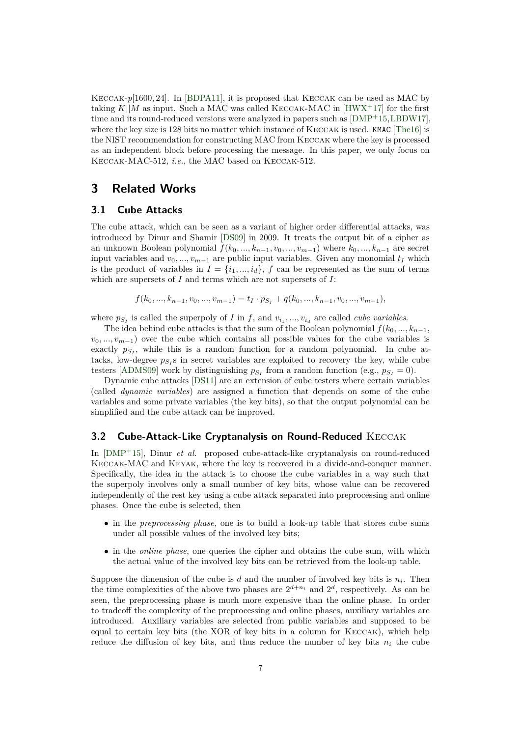Keccak-*p*[1600*,* 24]. In [BDPA11], it is proposed that Keccak can be used as MAC by taking  $K||M$  as input. Such a MAC was called KECCAK-MAC in  $[HWX^+17]$  for the first time and its round-reduced versions were analyzed in papers such as [DMP+15,LBDW17], where the key size is 128 bits no matter which instance of KECCAK is used. KMAC [The16] is the NIST recommendatio[n for cons](#page-19-8)tructing MAC from Keccak where the key is processed as an independent block before processing the message. In this p[aper, we o](#page-20-8)nly focus on Keccak-MAC-512, *i.e.*, the MAC based on Keccak-512.

## **3 Related Works**

### **3.1 Cube Attacks**

The cube attack, which can be seen as a variant of higher order differential attacks, was introduced by Dinur and Shamir [DS09] in 2009. It treats the output bit of a cipher as an unknown Boolean polynomial  $f(k_0, ..., k_{n-1}, v_0, ..., v_{m-1})$  where  $k_0, ..., k_{n-1}$  are secret input variables and  $v_0, \ldots, v_{m-1}$  are public input variables. Given any monomial  $t_I$  which is the product of variables in  $I = \{i_1, ..., i_d\}$ ,  $f$  can be represented as the sum of terms which are supersets of *I* and term[s whic](#page-20-5)h are not supersets of *I*:

 $f(k_0, ..., k_{n-1}, v_0, ..., v_{m-1}) = t_I \cdot p_{S_I} + q(k_0, ..., k_{n-1}, v_0, ..., v_{m-1}),$ 

where  $p_{S_I}$  is called the superpoly of *I* in *f*, and  $v_{i_1},...,v_{i_d}$  are called *cube variables*.

The idea behind cube attacks is that the sum of the Boolean polynomial  $f(k_0, ..., k_{n-1},$  $v_0, ..., v_{m-1}$ ) over the cube which contains all possible values for the cube variables is exactly  $p_{S_I}$ , while this is a random function for a random polynomial. In cube attacks, low-degree  $p_{S_I}$ s in secret variables are exploited to recovery the key, while cube testers [ADMS09] work by distinguishing  $p_{S_I}$  from a random function (e.g.,  $p_{S_I} = 0$ ).

Dynamic cube attacks [DS11] are an extension of cube testers where certain variables (called *dynamic variables*) are assigned a function that depends on some of the cube variables and some private variables (the key bits), so that the output polynomial can be simplifi[ed and the](#page-19-9) cube attack can be improved.

### **3.2 Cube-Attack-Like Cryptanalysis on Round-Reduced** Keccak

In [DMP+15], Dinur *et al.* proposed cube-attack-like cryptanalysis on round-reduced Keccak-MAC and Keyak, where the key is recovered in a divide-and-conquer manner. Specifically, the idea in the attack is to choose the cube variables in a way such that the superpoly involves only a small number of key bits, whose value can be recovered ind[ependently](#page-20-4) of the rest key using a cube attack separated into preprocessing and online phases. Once the cube is selected, then

- *•* in the *preprocessing phase*, one is to build a look-up table that stores cube sums under all possible values of the involved key bits;
- in the *online phase*, one queries the cipher and obtains the cube sum, with which the actual value of the involved key bits can be retrieved from the look-up table.

Suppose the dimension of the cube is  $d$  and the number of involved key bits is  $n<sub>i</sub>$ . Then the time complexities of the above two phases are  $2^{d+n_i}$  and  $2^d$ , respectively. As can be seen, the preprocessing phase is much more expensive than the online phase. In order to tradeoff the complexity of the preprocessing and online phases, auxiliary variables are introduced. Auxiliary variables are selected from public variables and supposed to be equal to certain key bits (the XOR of key bits in a column for Keccak), which help reduce the diffusion of key bits, and thus reduce the number of key bits  $n<sub>i</sub>$  the cube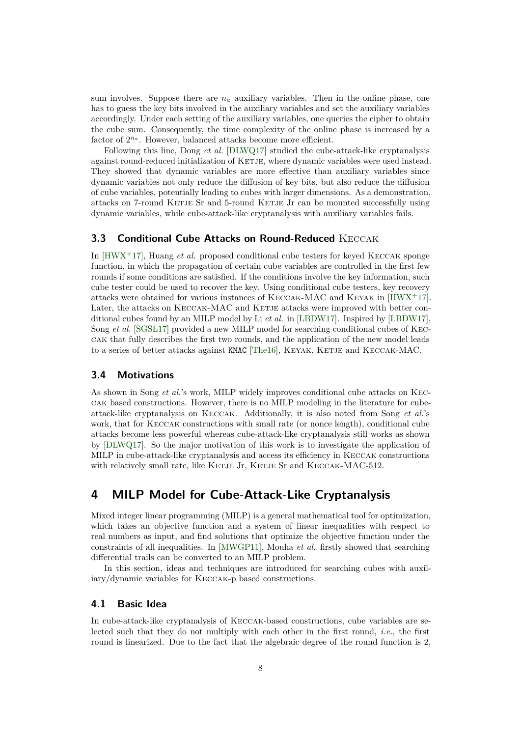sum involves. Suppose there are  $n_a$  auxiliary variables. Then in the online phase, one has to guess the key bits involved in the auxiliary variables and set the auxiliary variables accordingly. Under each setting of the auxiliary variables, one queries the cipher to obtain the cube sum. Consequently, the time complexity of the online phase is increased by a factor of  $2^{n_a}$ . However, balanced attacks become more efficient.

Following this line, Dong *et al.* [DLWQ17] studied the cube-attack-like cryptanalysis against round-reduced initialization of KETJE, where dynamic variables were used instead. They showed that dynamic variables are more effective than auxiliary variables since dynamic variables not only reduce the diffusion of key bits, but also reduce the diffusion of cube variables, potentially leading [to cubes w](#page-20-6)ith larger dimensions. As a demonstration, attacks on 7-round KETJE Sr and 5-round KETJE Jr can be mounted successfully using dynamic variables, while cube-attack-like cryptanalysis with auxiliary variables fails.

### **3.3 Conditional Cube Attacks on Round-Reduced KECCAK**

In [HWX+17], Huang *et al.* proposed conditional cube testers for keyed Keccak sponge function, in which the propagation of certain cube variables are controlled in the first few rounds if some conditions are satisfied. If the conditions involve the key information, such cube tester could be used to recover the key. Using conditional cube testers, key recovery att[acks were](#page-20-8) obtained for various instances of Keccak-MAC and Keyak in [HWX+17]. Later, the attacks on KECCAK-MAC and KETJE attacks were improved with better conditional cubes found by an MILP model by Li *et al.* in [LBDW17]. Inspired by [LBDW17], Song *et al.* [SGSL17] provided a new MILP model for searching conditional cubes of Keccak that fully describes the first two rounds, and the application of the new [model leads](#page-20-8) to a series of better attacks against KMAC [The16], KEYAK, KETJE and KECCAK-MAC.

### **3.4 Mo[tivation](#page-21-4)s**

As shown in Song *et al.*'s work, MILP wi[dely im](#page-21-5)proves conditional cube attacks on Keccak based constructions. However, there is no MILP modeling in the literature for cubeattack-like cryptanalysis on Keccak. Additionally, it is also noted from Song *et al.*'s work, that for Keccak constructions with small rate (or nonce length), conditional cube attacks become less powerful whereas cube-attack-like cryptanalysis still works as shown by [DLWQ17]. So the major motivation of this work is to investigate the application of MILP in cube-attack-like cryptanalysis and access its efficiency in Keccak constructions with relatively small rate, like KETJE Jr, KETJE Sr and KECCAK-MAC-512.

## **4 [MILP](#page-20-6) Model for Cube-Attack-Like Cryptanalysis**

<span id="page-7-0"></span>Mixed integer linear programming (MILP) is a general mathematical tool for optimization, which takes an objective function and a system of linear inequalities with respect to real numbers as input, and find solutions that optimize the objective function under the constraints of all inequalities. In [MWGP11], Mouha *et al.* firstly showed that searching differential trails can be converted to an MILP problem.

In this section, ideas and techniques are introduced for searching cubes with auxiliary/dynamic variables for Keccak-p based constructions.

### **4.1 Basic Idea**

In cube-attack-like cryptanalysis of Keccak-based constructions, cube variables are selected such that they do not multiply with each other in the first round, *i.e.*, the first round is linearized. Due to the fact that the algebraic degree of the round function is 2,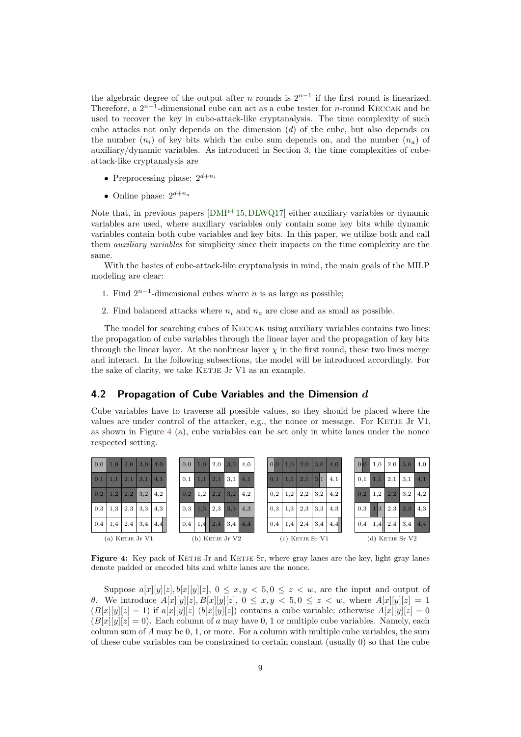the algebraic degree of the output after *n* rounds is  $2^{n-1}$  if the first round is linearized. Therefore, a 2<sup>*n*−1</sup>-dimensional cube can act as a cube tester for *n*-round KECCAK and be used to recover the key in cube-attack-like cryptanalysis. The time complexity of such cube attacks not only depends on the dimension (*d*) of the cube, but also depends on the number  $(n_i)$  of key bits which the cube sum depends on, and the number  $(n_a)$  of auxiliary/dynamic variables. As introduced in Section 3, the time complexities of cubeattack-like cryptanalysis are

- *•* Preprocessing phase: 2 *d*+*n<sup>i</sup>*
- Online phase:  $2^{d+n_a}$

Note that, in previous papers [DMP<sup>+</sup>15,DLWQ17] either auxiliary variables or dynamic variables are used, where auxiliary variables only contain some key bits while dynamic variables contain both cube variables and key bits. In this paper, we utilize both and call them *auxiliary variables* for simplicity since their impacts on the time complexity are the same.

With the basics of cube-attack-like cr[yptanalysi](#page-20-6)s in mind, the main goals of the MILP modeling are clear:

- 1. Find  $2^{n-1}$ -dimensional cubes where *n* is as large as possible;
- 2. Find balanced attacks where  $n_i$  and  $n_a$  are close and as small as possible.

The model for searching cubes of Keccak using auxiliary variables contains two lines: the propagation of cube variables through the linear layer and the propagation of key bits through the linear layer. At the nonlinear layer  $\chi$  in the first round, these two lines merge and interact. In the following subsections, the model will be introduced accordingly. For the sake of clarity, we take KETJE Jr V1 as an example.

### **4.2 Propagation of Cube Variables and the Dimension** *d*

Cube variables have to traverse all possible values, so they should be placed where the values are under control of the attacker, e.g., the nonce or message. For KETJE Jr V1, as shown in Figure 4 (a), cube variables can be set only in white lanes under the nonce respected setting.

<span id="page-8-0"></span>

**Figure 4:** Key pack of KETJE Jr and KETJE Sr, where gray lanes are the key, light gray lanes denote padded or encoded bits and white lanes are the nonce.

Suppose  $a[x][y][z], b[x][y][z], 0 \le x, y < 5, 0 \le z < w$ , are the input and output of *θ*. We introduce  $A[x][y][z], B[x][y][z], 0 \le x, y < 5, 0 \le z < w$ , where  $A[x][y][z] = 1$  $(B[x][y][z] = 1)$  if  $a[x][y][z]$   $(b[x][y][z])$  contains a cube variable; otherwise  $A[x][y][z] = 0$  $(B[x][y][z] = 0)$ . Each column of *a* may have 0, 1 or multiple cube variables. Namely, each column sum of *A* may be 0, 1, or more. For a column with multiple cube variables, the sum of these cube variables can be constrained to certain constant (usually 0) so that the cube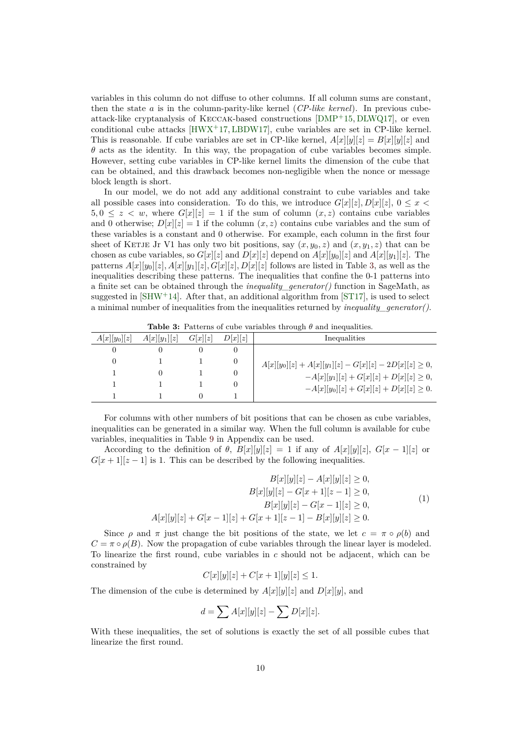variables in this column do not diffuse to other columns. If all column sums are constant, then the state *a* is in the column-parity-like kernel (*CP-like kernel*). In previous cubeattack-like cryptanalysis of Keccak-based constructions [DMP+15, DLWQ17], or even conditional cube attacks [HWX<sup>+</sup>17, LBDW17], cube variables are set in CP-like kernel. This is reasonable. If cube variables are set in CP-like kernel,  $A[x][y][z] = B[x][y][z]$  and  $\theta$  acts as the identity. In this way, the propagation of cube variables becomes simple. However, setting cube variables in CP-like kernel limits th[e dimensi](#page-20-4)[on of the](#page-20-6) cube that can be obtained, and this [drawback](#page-20-8) [becomes](#page-20-9) non-negligible when the nonce or message block length is short.

In our model, we do not add any additional constraint to cube variables and take all possible cases into consideration. To do this, we introduce  $G[x][z], D[x][z], 0 \leq x$  $5, 0 \leq z \leq w$ , where  $G[x][z] = 1$  if the sum of column  $(x, z)$  contains cube variables and 0 otherwise;  $D[x][z] = 1$  if the column  $(x, z)$  contains cube variables and the sum of these variables is a constant and 0 otherwise. For example, each column in the first four sheet of KETJE Jr V1 has only two bit positions, say  $(x, y_0, z)$  and  $(x, y_1, z)$  that can be chosen as cube variables, so  $G[x][z]$  and  $D[x][z]$  depend on  $A[x][y_0][z]$  and  $A[x][y_1][z]$ . The patterns  $A[x][y_0][z]$ ,  $A[x][y_1][z]$ ,  $G[x][z]$ ,  $D[x][z]$  follows are listed in Table 3, as well as the inequalities describing these patterns. The inequalities that confine the 0-1 patterns into a finite set can be obtained through the *inequality\_generator()* function in SageMath, as suggested in  $\text{SHW}^+14$ . After that, an additional algorithm from  $\text{ST17}$ , is used to select a minimal number of inequalities from the inequalities returned by *inequa[lit](#page-9-0)y\_generator()*.

<span id="page-9-0"></span>

|                | <b>rapic o.</b> I attend of cape variables through a and mequantities. |         |         |                                                            |  |  |  |  |
|----------------|------------------------------------------------------------------------|---------|---------|------------------------------------------------------------|--|--|--|--|
| $A[x][y_0][z]$ | $A[x][y_1][z]$                                                         | G[x][z] | D[x][z] | Inequalities                                               |  |  |  |  |
| O              |                                                                        |         |         |                                                            |  |  |  |  |
|                |                                                                        |         |         | $A[x][y_0][z] + A[x][y_1][z] - G[x][z] - 2D[x][z] \geq 0,$ |  |  |  |  |
|                |                                                                        |         |         | $-A[x][y_1][z] + G[x][z] + D[x][z] \geq 0,$                |  |  |  |  |
|                |                                                                        |         |         | $-A[x][y_0][z] + G[x][z] + D[x][z] \geq 0.$                |  |  |  |  |
|                |                                                                        |         |         |                                                            |  |  |  |  |

**Table 3:** Patterns of cube variables through *θ* and inequalities.

For columns with other numbers of bit positions that can be chosen as cube variables, inequalities can be generated in a similar way. When the full column is available for cube variables, inequalities in Table 9 in Appendix can be used.

According to the definition of  $\theta$ ,  $B[x][y][z] = 1$  if any of  $A[x][y][z]$ ,  $G[x-1][z]$  or  $G[x+1][z-1]$  is 1. This can be described by the following inequalities.

$$
B[x][y][z] - A[x][y][z] \ge 0,
$$
  
\n
$$
B[x][y][z] - G[x+1][z-1] \ge 0,
$$
  
\n
$$
B[x][y][z] - G[x-1][z] \ge 0,
$$
  
\n
$$
A[x][y][z] + G[x-1][z] + G[x+1][z-1] - B[x][y][z] \ge 0.
$$
\n(1)

Since  $\rho$  and  $\pi$  just change the bit positions of the state, we let  $c = \pi \circ \rho(b)$  and  $C = \pi \circ \rho(B)$ . Now the propagation of cube variables through the linear layer is modeled. To linearize the first round, cube variables in *c* should not be adjacent, which can be constrained by

$$
C[x][y][z] + C[x+1][y][z] \le 1.
$$

The dimension of the cube is determined by  $A[x][y][z]$  and  $D[x][y]$ , and

$$
d = \sum A[x][y][z] - \sum D[x][z].
$$

With these inequalities, the set of solutions is exactly the set of all possible cubes that linearize the first round.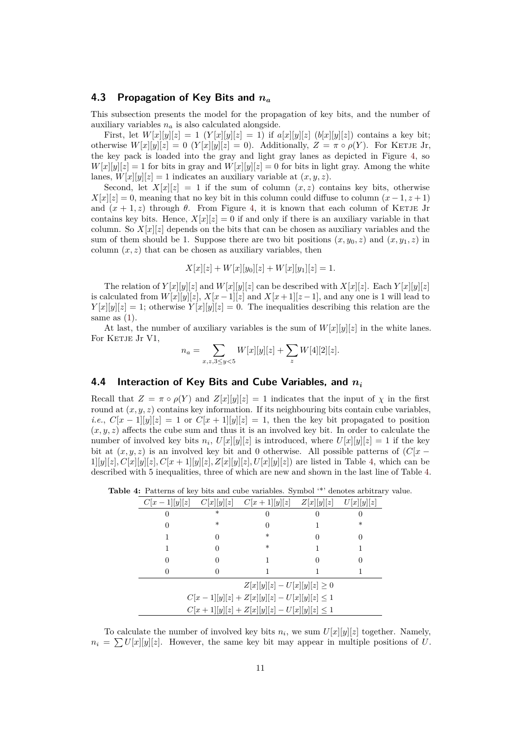### **4.3 Propagation of Key Bits and** *n<sup>a</sup>*

This subsection presents the model for the propagation of key bits, and the number of auxiliary variables *n<sup>a</sup>* is also calculated alongside.

First, let  $W[x][y][z] = 1$   $(Y[x][y][z] = 1)$  if  $a[x][y][z]$   $(b[x][y][z])$  contains a key bit; otherwise  $W[x][y][z] = 0$  ( $Y[x][y][z] = 0$ ). Additionally,  $Z = \pi \circ \rho(Y)$ . For KETJE Jr, the key pack is loaded into the gray and light gray lanes as depicted in Figure 4, so  $W[x][y][z] = 1$  for bits in gray and  $W[x][y][z] = 0$  for bits in light gray. Among the white lanes,  $W[x][y][z] = 1$  indicates an auxiliary variable at  $(x, y, z)$ .

Second, let  $X[x][z] = 1$  if the sum of column  $(x, z)$  contains key bits, otherwise  $X[x][z] = 0$  $X[x][z] = 0$  $X[x][z] = 0$ , meaning that no key bit in this column could diffuse to column  $(x-1, z+1)$ and  $(x + 1, z)$  through  $\theta$ . From Figure 4, it is known that each column of KETJE Jr contains key bits. Hence,  $X[x][z] = 0$  if and only if there is an auxiliary variable in that column. So  $X[x][z]$  depends on the bits that can be chosen as auxiliary variables and the sum of them should be 1. Suppose there are two bit positions  $(x, y_0, z)$  and  $(x, y_1, z)$  in column  $(x, z)$  that can be chosen as auxil[ia](#page-8-0)ry variables, then

$$
X[x][z] + W[x][y_0][z] + W[x][y_1][z] = 1.
$$

The relation of  $Y[x][y][z]$  and  $W[x][y][z]$  can be described with  $X[x][z]$ . Each  $Y[x][y][z]$ is calculated from  $W[x][y][z]$ ,  $X[x-1][z]$  and  $X[x+1][z-1]$ , and any one is 1 will lead to  $Y[x][y][z] = 1$ ; otherwise  $Y[x][y][z] = 0$ . The inequalities describing this relation are the same as (1).

At last, the number of auxiliary variables is the sum of  $W[x][y][z]$  in the white lanes. For KETJE Jr V1,

$$
n_a = \sum_{x,z, 3 \le y < 5} W[x][y][z] + \sum_z W[4][2][z].
$$

### **4.4 Interaction of Key Bits and Cube Variables, and** *n<sup>i</sup>*

Recall that  $Z = \pi \circ \rho(Y)$  and  $Z[x][y][z] = 1$  indicates that the input of  $\chi$  in the first round at  $(x, y, z)$  contains key information. If its neighbouring bits contain cube variables, *i.e.*,  $C[x-1][y][z] = 1$  or  $C[x+1][y][z] = 1$ , then the key bit propagated to position  $(x, y, z)$  affects the cube sum and thus it is an involved key bit. In order to calculate the number of involved key bits  $n_i$ ,  $U[x][y][z]$  is introduced, where  $U[x][y][z] = 1$  if the key bit at  $(x, y, z)$  is an involved key bit and 0 otherwise. All possible patterns of  $\left(C|x-\right)$  $1|y||z|, C[x|y||z], C[x+1]|y|z], Z[x|y||z], U[x|y||z]$  are listed in Table 4, which can be described with 5 inequalities, three of which are new and shown in the last line of Table 4.

<span id="page-10-0"></span>

| <b>Table 4:</b> Patterns of key bits and cube variables. Symbol <sup>**</sup> denotes arbitrary value. |  |
|--------------------------------------------------------------------------------------------------------|--|
|--------------------------------------------------------------------------------------------------------|--|

|                                            |        | $C x-1  y  z $ $C x  y  z $ $C x+1  y  z $ $Z x  y  z $ |  | U[x  y  z] |  |  |  |
|--------------------------------------------|--------|---------------------------------------------------------|--|------------|--|--|--|
|                                            | $\ast$ |                                                         |  |            |  |  |  |
|                                            | $\ast$ |                                                         |  | $^\ast$    |  |  |  |
|                                            | ∩      | $\ast$                                                  |  |            |  |  |  |
|                                            |        | $\ast$                                                  |  |            |  |  |  |
|                                            |        |                                                         |  |            |  |  |  |
|                                            |        |                                                         |  |            |  |  |  |
| $Z[x  y  z] - U[x  y  z] \geq 0$           |        |                                                         |  |            |  |  |  |
| $C[x-1][y][z]+Z[x][y][z]-U[x][y][z]\leq 1$ |        |                                                         |  |            |  |  |  |
|                                            |        | $C[x+1][y][z]+Z[x][y][z]-U[x][y][z]\leq 1$              |  |            |  |  |  |

To calculate the number of involved key bits  $n_i$ , we sum  $U[x][y][z]$  together. Namely,  $n_i = \sum U[x][y][z]$ . However, the same key bit may appear in multiple positions of *U*.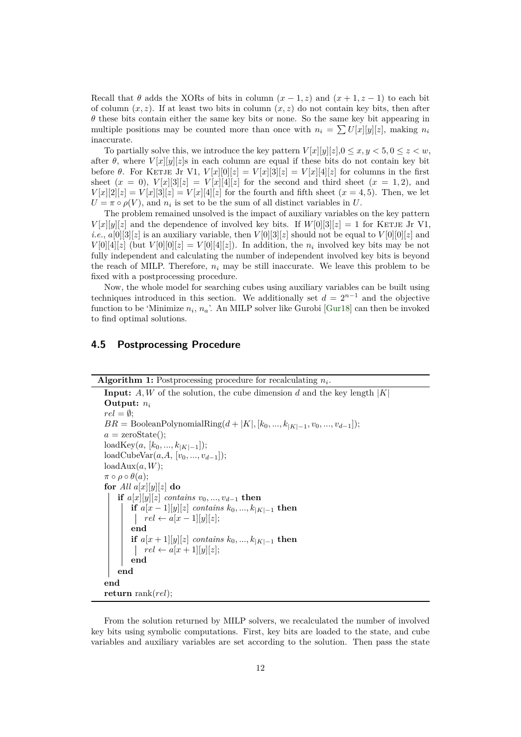Recall that  $\theta$  adds the XORs of bits in column  $(x-1, z)$  and  $(x+1, z-1)$  to each bit of column  $(x, z)$ . If at least two bits in column  $(x, z)$  do not contain key bits, then after *θ* these bits contain either the same key bits or none. So the same key bit appearing in multiple positions may be counted more than once with  $n_i = \sum U[x][y][z]$ , making  $n_i$ inaccurate.

To partially solve this, we introduce the key pattern  $V[x][y][z], 0 \le x, y < 5, 0 \le z < w$ , after  $\theta$ , where  $V[x][y][z]$ s in each column are equal if these bits do not contain key bit before  $\theta$ . For KETJE Jr V1,  $V[x][0][z] = V[x][3][z] = V[x][4][z]$  for columns in the first sheet  $(x = 0)$ ,  $V[x][3][z] = V[x][4][z]$  for the second and third sheet  $(x = 1, 2)$ , and  $V[x][2][z] = V[x][3][z] = V[x][4][z]$  for the fourth and fifth sheet  $(x = 4, 5)$ . Then, we let  $U = \pi \circ \rho(V)$ , and  $n_i$  is set to be the sum of all distinct variables in *U*.

The problem remained unsolved is the impact of auxiliary variables on the key pattern  $V[x][y][z]$  and the dependence of involved key bits. If  $W[0][3][z] = 1$  for KETJE Jr V1, *i.e.*,  $a[0][3][z]$  is an auxiliary variable, then  $V[0][3][z]$  should not be equal to  $V[0][0][z]$  and  $V[0][4][z]$  (but  $V[0][0][z] = V[0][4][z]$ ). In addition, the  $n_i$  involved key bits may be not fully independent and calculating the number of independent involved key bits is beyond the reach of MILP. Therefore,  $n_i$  may be still inaccurate. We leave this problem to be fixed with a postprocessing procedure.

Now, the whole model for searching cubes using auxiliary variables can be built using techniques introduced in this section. We additionally set  $d = 2^{n-1}$  and the objective function to be 'Minimize *n<sup>i</sup>* , *na*'. An MILP solver like Gurobi [Gur18] can then be invoked to find optimal solutions.

### **4.5 Postprocessing Procedure**

```
Algorithm 1: Postprocessing procedure for recalculating ni
.
```

```
Input: A, W of the solution, the cube dimension d and the key length |K|
Output: ni
rel = \emptyset;
BR = \text{BooleanPolynomialRing}(d + |K|, [k_0, ..., k_{|K|-1}, v_0, ..., v_{d-1}]);
a = \text{zeroState};
\text{loadKey}(a, [k_0, ..., k_{|K|-1}]);loadCubeVar(a,A, [v0, ..., vd−1]);
loadAux(a, W);\pi \circ \rho \circ \theta(a);for All a[x][y][z] do
   if a[x][y][z] contains v_0, ..., v_{d-1} then
        if a[x − 1][y][z] contains k0, ..., k|K|−1 then
            rel \leftarrow a[x-1][y][z];end
        if a[x + 1][y][z] contains k0, ..., k|K|−1 then
            rel \leftarrow a[x+1][y][z];end
   end
end
return rank(rel);
```
From the solution returned by MILP solvers, we recalculated the number of involved key bits using symbolic computations. First, key bits are loaded to the state, and cube variables and auxiliary variables are set according to the solution. Then pass the state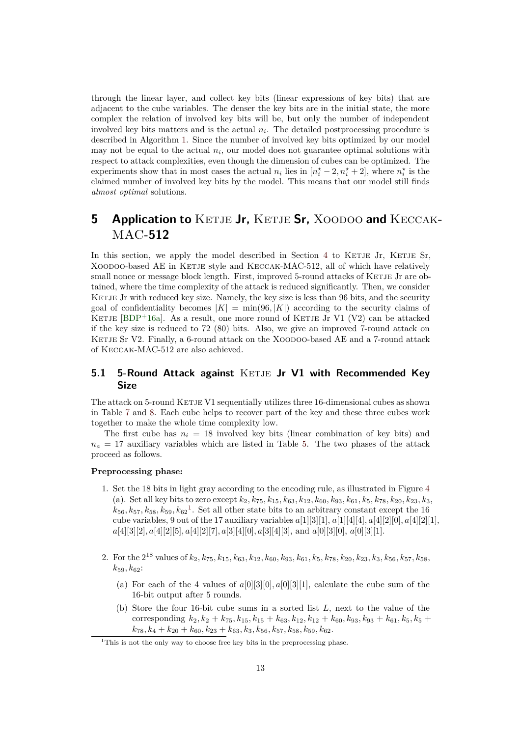through the linear layer, and collect key bits (linear expressions of key bits) that are adjacent to the cube variables. The denser the key bits are in the initial state, the more complex the relation of involved key bits will be, but only the number of independent involved key bits matters and is the actual *n<sup>i</sup>* . The detailed postprocessing procedure is described in Algorithm 1. Since the number of involved key bits optimized by our model may not be equal to the actual  $n_i$ , our model does not guarantee optimal solutions with respect to attack complexities, even though the dimension of cubes can be optimized. The experiments show that in most cases the actual  $n_i$  lies in  $[n_i^* - 2, n_i^* + 2]$ , where  $n_i^*$  is the claimed number of invo[lv](#page-11-0)ed key bits by the model. This means that our model still finds *almost optimal* solutions.

## **5 Application to** KETJE Jr, KETJE Sr, XOODOO and KECCAK-MAC**-512**

<span id="page-12-0"></span>In this section, we apply the model described in Section 4 to KETJE Jr, KETJE Sr, XOODOO-based AE in KETJE style and KECCAK-MAC-512, all of which have relatively small nonce or message block length. First, improved 5-round attacks of KETJE Jr are obtained, where the time complexity of the attack is reduced significantly. Then, we consider KETJE Jr with reduced key size. Namely, the key size is less t[ha](#page-7-0)n 96 bits, and the security goal of confidentiality becomes  $|K| = \min(96, |K|)$  according to the security claims of KETJE [BDP+16a]. As a result, one more round of KETJE Jr V1 (V2) can be attacked if the key size is reduced to 72 (80) bits. Also, we give an improved 7-round attack on KETJE Sr V2. Finally, a 6-round attack on the XOODOO-based AE and a 7-round attack of Keccak-MAC-512 are also achieved.

### **5.1 5-Round Attack against KETJE Jr V1 with Recommended Key Size**

The attack on 5-round KETJE V1 sequentially utilizes three 16-dimensional cubes as shown in Table 7 and 8. Each cube helps to recover part of the key and these three cubes work together to make the whole time complexity low.

The first cube has  $n_i = 18$  involved key bits (linear combination of key bits) and  $n_a = 17$  auxiliary variables which are listed in Table 5. The two phases of the attack proceed [as](#page-22-0) foll[ow](#page-23-0)s.

#### **Preprocessing phase:**

- 1. Set the 18 bits in light gray according to the enco[din](#page-13-0)g rule, as illustrated in Figure 4 (a). Set all key bits to zero except *k*2*, k*75*, k*15*, k*63*, k*12*, k*60*, k*93*, k*61*, k*5*, k*78*, k*20*, k*23*, k*3,  $k_{56}, k_{57}, k_{58}, k_{59}, k_{62}$ <sup>1</sup>. Set all other state bits to an arbitrary constant except the 16 cube variables, 9 out of the 17 auxiliary variables *a*[1][3][1], *a*[1][4][4]*, a*[4][2][0]*, a*[4][2][1], *a*[4][3][2]*, a*[4][2][5]*, a*[4][2][7]*, a*[3][4][0]*, a*[3][4][3], and *a*[0][3][0], *a*[0][3][1].
- 2. For the 2 <sup>18</sup> values of *k*2*, k*75*, k*15*, k*63*, k*12*, k*60*, k*93*, k*61*, k*5*, k*78*, k*20*, k*23*, k*3*, k*56*, k*57*, k*58*, k*59*, k*62:
	- (a) For each of the 4 values of  $a[0][3][0], a[0][3][1]$ , calculate the cube sum of the 16-bit output after 5 rounds.
	- (b) Store the four 16-bit cube sums in a sorted list *L*, next to the value of the corresponding  $k_2, k_2 + k_{75}, k_{15}, k_{15} + k_{63}, k_{12}, k_{12} + k_{60}, k_{93}, k_{93} + k_{61}, k_5, k_5 +$  $k_{78}, k_4 + k_{20} + k_{60}, k_{23} + k_{63}, k_3, k_{56}, k_{57}, k_{58}, k_{59}, k_{62}.$

<sup>&</sup>lt;sup>1</sup>This is not the only way to choose free key bits in the preprocessing phase.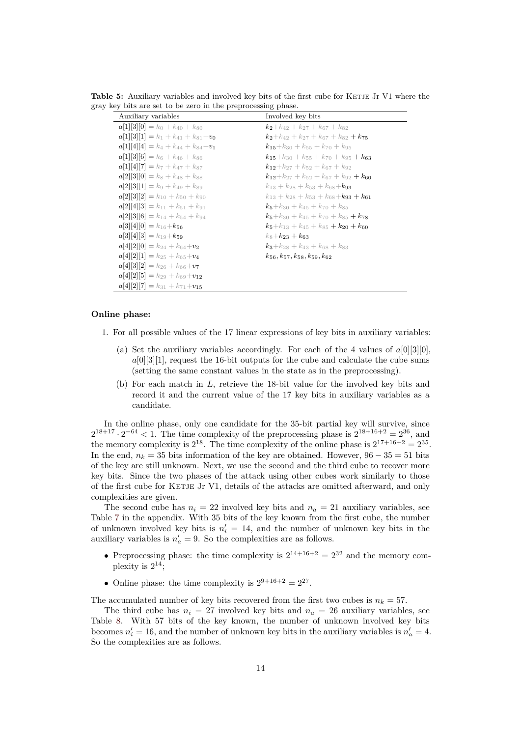<span id="page-13-0"></span>

| Auxiliary variables                        | Involved key bits                                     |
|--------------------------------------------|-------------------------------------------------------|
| $a[1  3  0] = k_0 + k_{40} + k_{80}$       | $k_2+k_{42}+k_{27}+k_{67}+k_{82}$                     |
| $a[1][3][1] = k_1 + k_{41} + k_{81} + v_0$ | $k_2+k_{42}+k_{27}+k_{67}+k_{82}+k_{75}$              |
| $a[1][4][4] = k_4 + k_{44} + k_{84} + v_1$ | $k_{15}+k_{30}+k_{55}+k_{70}+k_{95}$                  |
| $a[1][3][6] = k_6 + k_{46} + k_{86}$       | $k_{15}+k_{30}+k_{55}+k_{70}+k_{95}+k_{63}$           |
| $a[1][4][7] = k_7 + k_{47} + k_{87}$       | $k_{12}+k_{27}+k_{52}+k_{67}+k_{92}$                  |
| $a[2][3][0] = k_8 + k_{48} + k_{88}$       | $k_{12}+k_{27}+k_{52}+k_{67}+k_{92}+k_{60}$           |
| $a[2][3][1] = k_9 + k_{49} + k_{89}$       | $k_{13} + k_{28} + k_{53} + k_{68} + k_{93}$          |
| $a[2][3][2] = k_{10} + k_{50} + k_{90}$    | $k_{13} + k_{28} + k_{53} + k_{68} + k_{93} + k_{61}$ |
| $a[2][4][3] = k_{11} + k_{51} + k_{91}$    | $k_5+k_{30}+k_{45}+k_{70}+k_{85}$                     |
| $a[2][3][6] = k_{14} + k_{54} + k_{94}$    | $k_5+k_{30}+k_{45}+k_{70}+k_{85}+k_{78}$              |
| $a[3][4][0] = k_{16}+k_{56}$               | $k_5+k_{13}+k_{45}+k_{85}+k_{20}+k_{60}$              |
| $a[3][4][3] = k_{19}+k_{59}$               | $k_8+k_{23}+k_{63}$                                   |
| $a 4  2  0  = k_{24} + k_{64} + v_2$       | $k_3+k_{28}+k_{43}+k_{68}+k_{83}$                     |
| $a 4  2  1  = k_{25} + k_{65} + v_4$       | $k_{56}, k_{57}, k_{58}, k_{59}, k_{62}$              |
| $a 4  3  2  = k_{26} + k_{66} + v_7$       |                                                       |
| $a 4  2  5  = k_{29} + k_{69} + v_{12}$    |                                                       |
| $a 4  2  7  = k_{31} + k_{71} + v_{15}$    |                                                       |

Table 5: Auxiliary variables and involved key bits of the first cube for KETJE Jr V1 where the gray key bits are set to be zero in the preprocessing phase.

#### **Online phase:**

- 1. For all possible values of the 17 linear expressions of key bits in auxiliary variables:
	- (a) Set the auxiliary variables accordingly. For each of the 4 values of  $a[0][3][0]$ , *a*[0][3][1], request the 16-bit outputs for the cube and calculate the cube sums (setting the same constant values in the state as in the preprocessing).
	- (b) For each match in *L*, retrieve the 18-bit value for the involved key bits and record it and the current value of the 17 key bits in auxiliary variables as a candidate.

In the online phase, only one candidate for the 35-bit partial key will survive, since  $2^{18+17} \cdot 2^{-64}$  < 1. The time complexity of the preprocessing phase is  $2^{18+16+2} = 2^{36}$ , and the memory complexity is  $2^{18}$ . The time complexity of the online phase is  $2^{17+16+2} = 2^{35}$ . In the end,  $n_k = 35$  bits information of the key are obtained. However,  $96 - 35 = 51$  bits of the key are still unknown. Next, we use the second and the third cube to recover more key bits. Since the two phases of the attack using other cubes work similarly to those of the first cube for KETJE Jr V1, details of the attacks are omitted afterward, and only complexities are given.

The second cube has  $n_i = 22$  involved key bits and  $n_a = 21$  auxiliary variables, see Table 7 in the appendix. With 35 bits of the key known from the first cube, the number of unknown involved key bits is  $n'_i = 14$ , and the number of unknown key bits in the auxiliary variables is  $n'_a = 9$ . So the complexities are as follows.

- Preprocessing phase: the time complexity is  $2^{14+16+2} = 2^{32}$  and the memory com[pl](#page-22-0)exity is  $2^{14}$ ;
- Online phase: the time complexity is  $2^{9+16+2} = 2^{27}$ .

The accumulated number of key bits recovered from the first two cubes is  $n_k = 57$ .

The third cube has  $n_i = 27$  involved key bits and  $n_a = 26$  auxiliary variables, see Table 8. With 57 bits of the key known, the number of unknown involved key bits becomes  $n'_i = 16$ , and the number of unknown key bits in the auxiliary variables is  $n'_a = 4$ . So the complexities are as follows.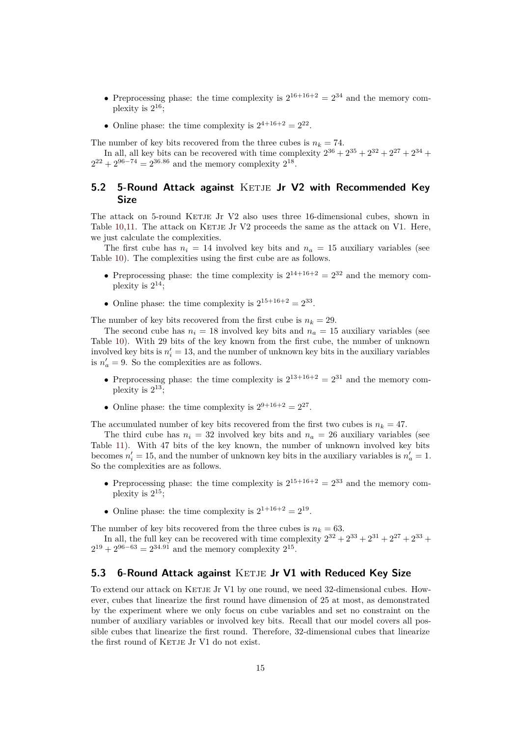- Preprocessing phase: the time complexity is  $2^{16+16+2} = 2^{34}$  and the memory complexity is  $2^{16}$ ;
- Online phase: the time complexity is  $2^{4+16+2} = 2^{22}$ .

The number of key bits recovered from the three cubes is  $n_k = 74$ .

In all, all key bits can be recovered with time complexity  $2^{36} + 2^{35} + 2^{32} + 2^{27} + 2^{34} +$  $2^{22} + 2^{96-74} = 2^{36.86}$  and the memory complexity  $2^{18}$ .

### **5.2 5-Round Attack against KETJE Jr V2 with Recommended Key Size**

<span id="page-14-1"></span>The attack on 5-round KETJE Jr V2 also uses three 16-dimensional cubes, shown in Table 10,11. The attack on KETJE Jr V2 proceeds the same as the attack on V1. Here, we just calculate the complexities.

The first cube has  $n_i = 14$  involved key bits and  $n_a = 15$  auxiliary variables (see Table 10). The complexities using the first cube are as follows.

- [Pre](#page-24-0)[pro](#page-25-0)cessing phase: the time complexity is  $2^{14+16+2} = 2^{32}$  and the memory complexity is  $2^{14}$ ;
- [On](#page-24-0)line phase: the time complexity is  $2^{15+16+2} = 2^{33}$ .

The number of key bits recovered from the first cube is  $n_k = 29$ .

The second cube has  $n_i = 18$  involved key bits and  $n_a = 15$  auxiliary variables (see Table 10). With 29 bits of the key known from the first cube, the number of unknown involved key bits is  $n'_i = 13$ , and the number of unknown key bits in the auxiliary variables is  $n'_a = 9$ . So the complexities are as follows.

- [Pre](#page-24-0)processing phase: the time complexity is  $2^{13+16+2} = 2^{31}$  and the memory complexity is  $2^{13}$ ;
- Online phase: the time complexity is  $2^{9+16+2} = 2^{27}$ .

The accumulated number of key bits recovered from the first two cubes is  $n_k = 47$ .

The third cube has  $n_i = 32$  involved key bits and  $n_a = 26$  auxiliary variables (see Table 11). With 47 bits of the key known, the number of unknown involved key bits becomes  $n'_i = 15$ , and the number of unknown key bits in the auxiliary variables is  $n'_a = 1$ . So the complexities are as follows.

- Preprocessing phase: the time complexity is  $2^{15+16+2} = 2^{33}$  and the memory com[plex](#page-25-0)ity is  $2^{15}$ ;
- Online phase: the time complexity is  $2^{1+16+2} = 2^{19}$ .

The number of key bits recovered from the three cubes is  $n_k = 63$ .

In all, the full key can be recovered with time complexity  $2^{32} + 2^{33} + 2^{31} + 2^{27} + 2^{33} +$  $2^{19} + 2^{96-63} = 2^{34.91}$  and the memory complexity  $2^{15}$ .

### **5.3 6-Round Attack against KETJE Jr V1 with Reduced Key Size**

<span id="page-14-0"></span>To extend our attack on KETJE Jr V1 by one round, we need 32-dimensional cubes. However, cubes that linearize the first round have dimension of 25 at most, as demonstrated by the experiment where we only focus on cube variables and set no constraint on the number of auxiliary variables or involved key bits. Recall that our model covers all possible cubes that linearize the first round. Therefore, 32-dimensional cubes that linearize the first round of KETJE Jr V1 do not exist.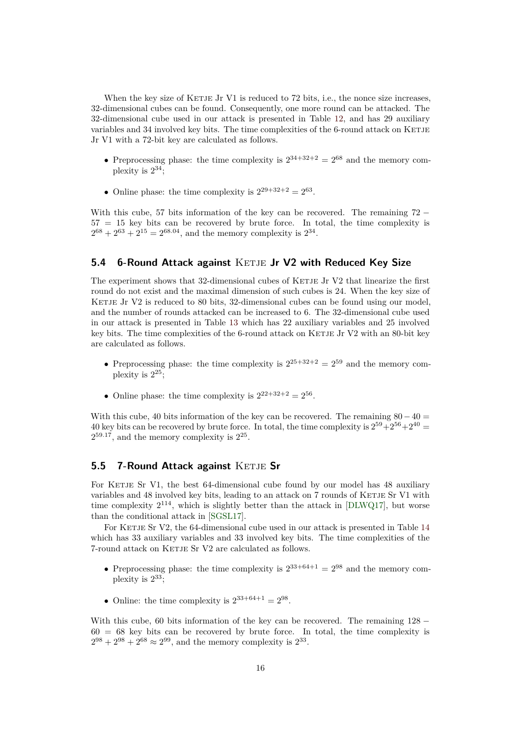When the key size of KETJE Jr V1 is reduced to  $72$  bits, i.e., the nonce size increases, 32-dimensional cubes can be found. Consequently, one more round can be attacked. The 32-dimensional cube used in our attack is presented in Table 12, and has 29 auxiliary variables and 34 involved key bits. The time complexities of the 6-round attack on KETJE Jr V1 with a 72-bit key are calculated as follows.

- Preprocessing phase: the time complexity is  $2^{34+32+2} = 2^{68}$  $2^{34+32+2} = 2^{68}$  $2^{34+32+2} = 2^{68}$  and the memory complexity is  $2^{34}$ ;
- Online phase: the time complexity is  $2^{29+32+2} = 2^{63}$ .

With this cube, 57 bits information of the key can be recovered. The remaining 72 *−*  $57 = 15$  key bits can be recovered by brute force. In total, the time complexity is  $2^{68} + 2^{63} + 2^{15} = 2^{68.04}$ , and the memory complexity is  $2^{34}$ .

### **5.4 6-Round Attack against KETJE Jr V2 with Reduced Key Size**

<span id="page-15-0"></span>The experiment shows that 32-dimensional cubes of KETJE Jr  $V2$  that linearize the first round do not exist and the maximal dimension of such cubes is 24. When the key size of KETJE Jr V2 is reduced to 80 bits,  $32$ -dimensional cubes can be found using our model, and the number of rounds attacked can be increased to 6. The 32-dimensional cube used in our attack is presented in Table 13 which has 22 auxiliary variables and 25 involved key bits. The time complexities of the 6-round attack on KETJE Jr  $V2$  with an 80-bit key are calculated as follows.

- Preprocessing phase: the time [co](#page-27-0)mplexity is  $2^{25+32+2} = 2^{59}$  and the memory complexity is  $2^{25}$ ;
- Online phase: the time complexity is  $2^{22+32+2} = 2^{56}$ .

With this cube, 40 bits information of the key can be recovered. The remaining 80*−*40 = 40 key bits can be recovered by brute force. In total, the time complexity is  $2^{59}+2^{56}+2^{40}$  $2^{59.17}$ , and the memory complexity is  $2^{25}$ .

### **5.5 7-Round Attack against KETJE Sr**

For KETJE Sr V1, the best 64-dimensional cube found by our model has 48 auxiliary variables and 48 involved key bits, leading to an attack on 7 rounds of KETJE Sr V1 with time complexity  $2^{114}$ , which is slightly better than the attack in [DLWQ17], but worse than the conditional attack in [SGSL17].

For KETJE Sr V2, the 64-dimensional cube used in our attack is presented in Table 14 which has 33 auxiliary variables and 33 involved key bits. The time complexities of the 7-round attack on KETJE Sr V2 are calculated as follows.

- Preprocessing phase: the time complexity is  $2^{33+64+1} = 2^{98}$  and the memory c[om](#page-28-0)plexity is  $2^{33}$ ;
- Online: the time complexity is  $2^{33+64+1} = 2^{98}$ .

With this cube, 60 bits information of the key can be recovered. The remaining 128 *−*  $60 = 68$  key bits can be recovered by brute force. In total, the time complexity is  $2^{98} + 2^{98} + 2^{68} \approx 2^{99}$ , and the memory complexity is  $2^{33}$ .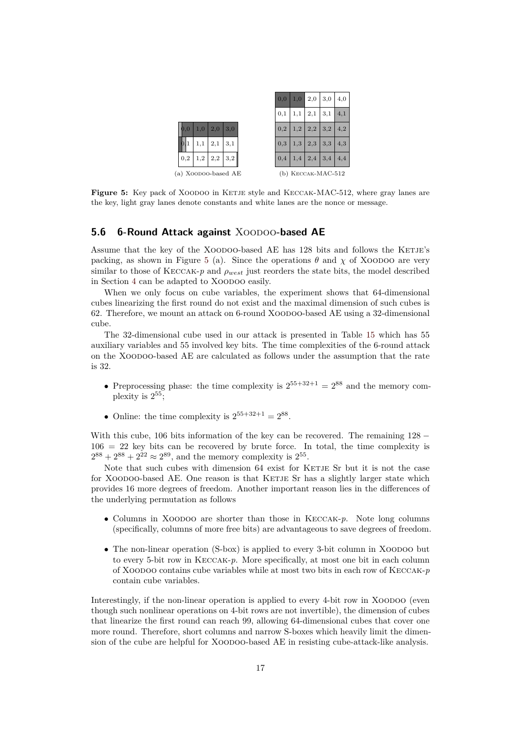

<span id="page-16-1"></span>**Figure 5:** Key pack of XOODOO in KETJE style and KECCAK-MAC-512, where gray lanes are the key, light gray lanes denote constants and white lanes are the nonce or message.

### **5.6 6-Round Attack against XOODOO-based AE**

Assume that the key of the XOODOO-based AE has 128 bits and follows the KETJE's packing, as shown in Figure 5 (a). Since the operations  $\theta$  and  $\chi$  of XOODOO are very similar to those of KECCAK- $p$  and  $\rho_{west}$  just reorders the state bits, the model described in Section 4 can be adapted to XOODOO easily.

<span id="page-16-0"></span>When we only focus on cube variables, the experiment shows that 64-dimensional cubes linearizing the first rou[nd](#page-16-1) do not exist and the maximal dimension of such cubes is 62. Therefore, we mount an attack on 6-round Xoodoo-based AE using a 32-dimensional cube.

The 32-dimensional cube used in our attack is presented in Table 15 which has 55 auxiliary variables and 55 involved key bits. The time complexities of the 6-round attack on the Xoodoo-based AE are calculated as follows under the assumption that the rate is 32.

- Preprocessing phase: the time complexity is  $2^{55+32+1} = 2^{88}$  and the memory complexity is  $2^{55}$ ;
- Online: the time complexity is  $2^{55+32+1} = 2^{88}$ .

With this cube, 106 bits information of the key can be recovered. The remaining 128 *−*  $106 = 22$  key bits can be recovered by brute force. In total, the time complexity is  $2^{88} + 2^{88} + 2^{22} \approx 2^{89}$ , and the memory complexity is  $2^{55}$ .

Note that such cubes with dimension 64 exist for KETJE Sr but it is not the case for XOODOO-based AE. One reason is that KETJE Sr has a slightly larger state which provides 16 more degrees of freedom. Another important reason lies in the differences of the underlying permutation as follows

- Columns in XOODOO are shorter than those in KECCAK-*p*. Note long columns (specifically, columns of more free bits) are advantageous to save degrees of freedom.
- The non-linear operation (S-box) is applied to every 3-bit column in XOODOO but to every 5-bit row in Keccak-*p*. More specifically, at most one bit in each column of Xoodoo contains cube variables while at most two bits in each row of Keccak-*p* contain cube variables.

Interestingly, if the non-linear operation is applied to every 4-bit row in XOODOO (even though such nonlinear operations on 4-bit rows are not invertible), the dimension of cubes that linearize the first round can reach 99, allowing 64-dimensional cubes that cover one more round. Therefore, short columns and narrow S-boxes which heavily limit the dimension of the cube are helpful for XOODOO-based AE in resisting cube-attack-like analysis.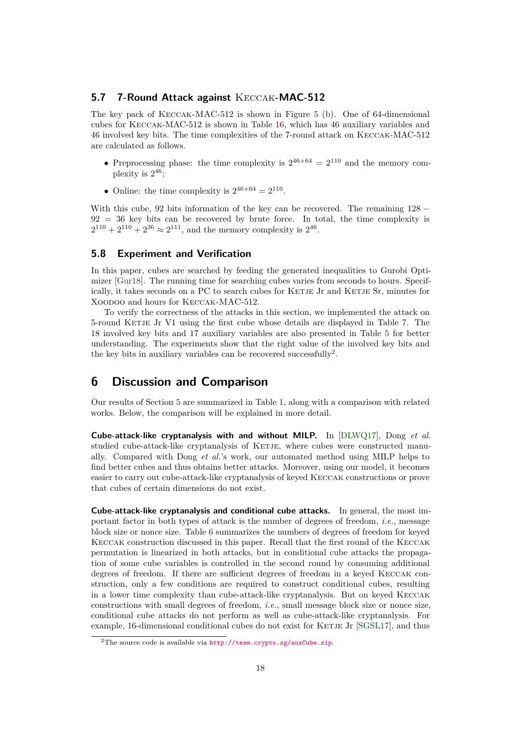### **5.7 7-Round Attack against** Keccak**-MAC-512**

The key pack of Keccak-MAC-512 is shown in Figure 5 (b). One of 64-dimensional cubes for Keccak-MAC-512 is shown in Table 16, which has 46 auxiliary variables and 46 involved key bits. The time complexities of the 7-round attack on Keccak-MAC-512 are calculated as follows.

- Preprocessing phase: the time complexity [is](#page-30-0)  $2^{46+64} = 2^{110}$  $2^{46+64} = 2^{110}$  $2^{46+64} = 2^{110}$  and the memory complexity is  $2^{46}$ ;
- Online: the time complexity is  $2^{46+64} = 2^{110}$ .

With this cube, 92 bits information of the key can be recovered. The remaining 128 *−*  $92 = 36$  key bits can be recovered by brute force. In total, the time complexity is  $2^{110} + 2^{110} + 2^{36} \approx 2^{111}$ , and the memory complexity is  $2^{46}$ .

### **5.8 Experiment and Verification**

In this paper, cubes are searched by feeding the generated inequalities to Gurobi Optimizer [Gur18]. The running time for searching cubes varies from seconds to hours. Specifically, it takes seconds on a PC to search cubes for KETJE Jr and KETJE Sr, minutes for Xoodoo and hours for Keccak-MAC-512.

To verify the correctness of the attacks in this section, we implemented the attack on 5-round KETJE Jr V1 using the first cube whose details are displayed in Table 7. The 18 involved key bits and 17 auxiliary variables are also presented in Table 5 for better understanding. The experiments show that the right value of the involved key bits and the key bits in auxiliary variables can be recovered successfully<sup>2</sup>.

## **6 Discussion and Comparison**

Our results of Section 5 are summarized in Table 1, along with a comparison with related works. Below, the comparison will be explained in more detail.

<span id="page-17-0"></span>**Cube-attack-like cryptanalysis with and without MILP.** In [DLWQ17], Dong *et al.* studied cube-attack-li[ke](#page-12-0) cryptanalysis of KETJE[,](#page-2-0) where cubes were constructed manually. Compared with Dong *et al.*'s work, our automated method using MILP helps to find better cubes and thus obtains better attacks. Moreover, using our model, it becomes easier to carry out cube-attack-like cryptanalysis of keyed Keccak [construc](#page-20-6)tions or prove that cubes of certain dimensions do not exist.

**Cube-attack-like cryptanalysis and conditional cube attacks.** In general, the most important factor in both types of attack is the number of degrees of freedom, *i.e.*, message block size or nonce size. Table 6 summarizes the numbers of degrees of freedom for keyed Keccak construction discussed in this paper. Recall that the first round of the Keccak permutation is linearized in both attacks, but in conditional cube attacks the propagation of some cube variables is controlled in the second round by consuming additional degrees of freedom. If there [are](#page-18-1) sufficient degrees of freedom in a keyed Keccak construction, only a few conditions are required to construct conditional cubes, resulting in a lower time complexity than cube-attack-like cryptanalysis. But on keyed Keccak constructions with small degrees of freedom, *i.e.*, small message block size or nonce size, conditional cube attacks do not perform as well as cube-attack-like cryptanalysis. For example, 16-dimensional conditional cubes do not exist for KETJE Jr [SGSL17], and thus

 $2$ The source code is available via http://team.crypto.sg/auxCube.zip.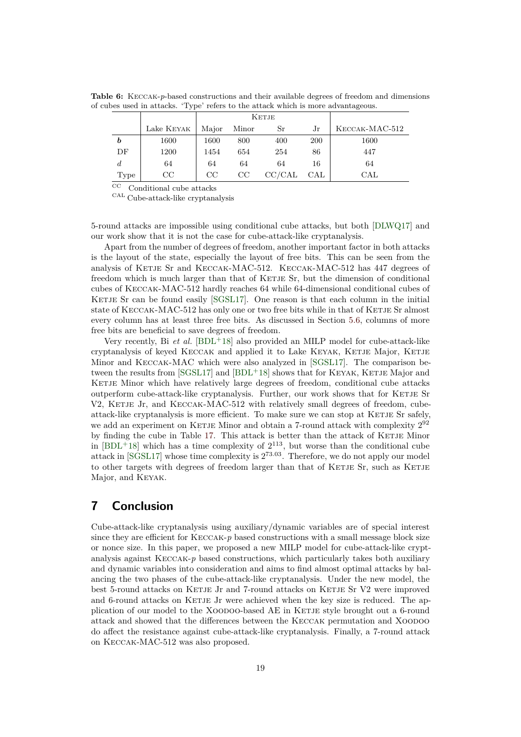**Table 6:** Keccak-*p*-based constructions and their available degrees of freedom and dimensions of cubes used in attacks. 'Type' refers to the attack which is more advantageous.

<span id="page-18-1"></span>

|      |            |       | <b>KETJE</b> |        |              |                |
|------|------------|-------|--------------|--------|--------------|----------------|
|      | Lake KEYAK | Major | Minor        | Sr     | Jr           | KECCAK-MAC-512 |
| b    | 1600       | 1600  | 800          | 400    | <b>200</b>   | 1600           |
| DF   | 1200       | 1454  | 654          | 254    | 86           | 447            |
| d    | 64         | 64    | 64           | 64     | 16           | 64             |
| Type | CC         | CC    | CC           | CC/CAL | $_{\rm CAL}$ | $_{\rm CAL}$   |

 $^{\rm CC}$  Conditional cube attacks

 $^{\mathrm{CAL}}$  Cube-attack-like cryptanalysis

5-round attacks are impossible using conditional cube attacks, but both [DLWQ17] and our work show that it is not the case for cube-attack-like cryptanalysis.

Apart from the number of degrees of freedom, another important factor in both attacks is the layout of the state, especially the layout of free bits. This can be seen from the analysis of KETJE Sr and KECCAK-MAC-512. KECCAK-MAC-512 has [447 degre](#page-20-6)es of freedom which is much larger than that of KETJE Sr, but the dimension of conditional cubes of Keccak-MAC-512 hardly reaches 64 while 64-dimensional conditional cubes of KETJE Sr can be found easily [SGSL17]. One reason is that each column in the initial state of KECCAK-MAC-512 has only one or two free bits while in that of KETJE Sr almost every column has at least three free bits. As discussed in Section 5.6, columns of more free bits are beneficial to save degrees of freedom.

Very recently, Bi *et al.* [BDL+[18\] als](#page-21-4)o provided an MILP model for cube-attack-like cryptanalysis of keyed Keccak and applied it to Lake Keyak, Ketje Major, Ketje Minor and Keccak-MAC which were also analyzed in [SGSL17]. [T](#page-16-0)he comparison between the results from  $[SGSL17]$  and  $[BDL<sup>+18</sup>]$  shows that for KEYAK, KETJE Major and KETJE Minor which have [relatively](#page-19-4) large degrees of freedom, conditional cube attacks outperform cube-attack-like cryptanalysis. Further, our work shows that for KETJE Sr V2, KETJE Jr, and KECCAK-MAC-512 with relatively s[mall deg](#page-21-4)rees of freedom, cubeattack-like cryptanalys[is is more](#page-21-4) effic[ient. To m](#page-19-4)ake sure we can stop at KETJE Sr safely, we add an experiment on KETJE Minor and obtain a 7-round attack with complexity  $2^{92}$ by finding the cube in Table 17. This attack is better than the attack of KETJE Minor in  $[BDL+18]$  which has a time complexity of  $2^{113}$ , but worse than the conditional cube attack in [SGSL17] whose time complexity is 2 <sup>73</sup>*.*03. Therefore, we do not apply our model to other targets with degrees of freedom larger than that of KETJE Sr, such as KETJE Major, and Keyak.

## **7 Co[nclusio](#page-21-4)n**

<span id="page-18-0"></span>Cube-attack-like cryptanalysis using auxiliary/dynamic variables are of special interest since they are efficient for  $KECCAK-p$  based constructions with a small message block size or nonce size. In this paper, we proposed a new MILP model for cube-attack-like cryptanalysis against Keccak-*p* based constructions, which particularly takes both auxiliary and dynamic variables into consideration and aims to find almost optimal attacks by balancing the two phases of the cube-attack-like cryptanalysis. Under the new model, the best 5-round attacks on KETJE Jr and 7-round attacks on KETJE Sr V2 were improved and 6-round attacks on KETJE Jr were achieved when the key size is reduced. The application of our model to the XOODOO-based AE in KETJE style brought out a 6-round attack and showed that the differences between the Keccak permutation and Xoodoo do affect the resistance against cube-attack-like cryptanalysis. Finally, a 7-round attack on Keccak-MAC-512 was also proposed.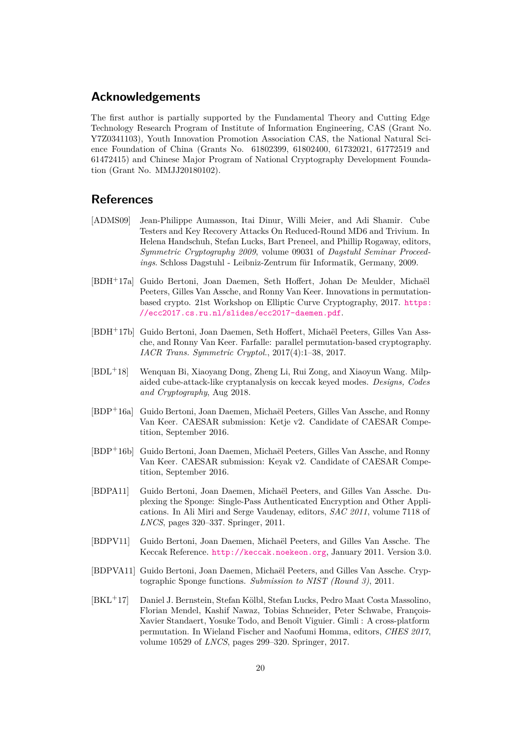## **Acknowledgements**

The first author is partially supported by the Fundamental Theory and Cutting Edge Technology Research Program of Institute of Information Engineering, CAS (Grant No. Y7Z0341103), Youth Innovation Promotion Association CAS, the National Natural Science Foundation of China (Grants No. 61802399, 61802400, 61732021, 61772519 and 61472415) and Chinese Major Program of National Cryptography Development Foundation (Grant No. MMJJ20180102).

## **References**

- [ADMS09] Jean-Philippe Aumasson, Itai Dinur, Willi Meier, and Adi Shamir. Cube Testers and Key Recovery Attacks On Reduced-Round MD6 and Trivium. In Helena Handschuh, Stefan Lucks, Bart Preneel, and Phillip Rogaway, editors, *Symmetric Cryptography 2009*, volume 09031 of *Dagstuhl Seminar Proceedings*. Schloss Dagstuhl - Leibniz-Zentrum für Informatik, Germany, 2009.
- <span id="page-19-9"></span>[BDH+17a] Guido Bertoni, Joan Daemen, Seth Hoffert, Johan De Meulder, Michaël Peeters, Gilles Van Assche, and Ronny Van Keer. Innovations in permutationbased crypto. 21st Workshop on Elliptic Curve Cryptography, 2017. https: //ecc2017.cs.ru.nl/slides/ecc2017-daemen.pdf.
- <span id="page-19-6"></span>[BDH+17b] Guido Bertoni, Joan Daemen, Seth Hoffert, Michaël Peeters, Gilles Van Assche, and Ronny Van Keer. Farfalle: parallel permutation-based crypto[graphy.](https://ecc2017.cs.ru.nl/slides/ecc2017-daemen.pdf) *[IACR Trans. Symmetric Cryptol.](https://ecc2017.cs.ru.nl/slides/ecc2017-daemen.pdf)*, 2017(4):1–38, 2017.
- <span id="page-19-3"></span>[BDL+18] Wenquan Bi, Xiaoyang Dong, Zheng Li, Rui Zong, and Xiaoyun Wang. Milpaided cube-attack-like cryptanalysis on keccak keyed modes. *Designs, Codes and Cryptography*, Aug 2018.
- <span id="page-19-4"></span>[BDP+16a] Guido Bertoni, Joan Daemen, Michaël Peeters, Gilles Van Assche, and Ronny Van Keer. CAESAR submission: Ketje v2. Candidate of CAESAR Competition, September 2016.
- <span id="page-19-2"></span>[BDP+16b] Guido Bertoni, Joan Daemen, Michaël Peeters, Gilles Van Assche, and Ronny Van Keer. CAESAR submission: Keyak v2. Candidate of CAESAR Competition, September 2016.
- <span id="page-19-1"></span>[BDPA11] Guido Bertoni, Joan Daemen, Michaël Peeters, and Gilles Van Assche. Duplexing the Sponge: Single-Pass Authenticated Encryption and Other Applications. In Ali Miri and Serge Vaudenay, editors, *SAC 2011*, volume 7118 of *LNCS*, pages 320–337. Springer, 2011.
- <span id="page-19-8"></span>[BDPV11] Guido Bertoni, Joan Daemen, Michaël Peeters, and Gilles Van Assche. The Keccak Reference. http://keccak.noekeon.org, January 2011. Version 3.0.
- <span id="page-19-0"></span>[BDPVA11] Guido Bertoni, Joan Daemen, Michaël Peeters, and Gilles Van Assche. Cryptographic Sponge functions. *Submission to NIST (Round 3)*, 2011.
- <span id="page-19-7"></span><span id="page-19-5"></span>[BKL<sup>+</sup>17] Daniel J. Bernstein[, Stefan Kölbl, Stefan Lucks, Pe](http://keccak.noekeon.org)dro Maat Costa Massolino, Florian Mendel, Kashif Nawaz, Tobias Schneider, Peter Schwabe, François-Xavier Standaert, Yosuke Todo, and Benoît Viguier. Gimli : A cross-platform permutation. In Wieland Fischer and Naofumi Homma, editors, *CHES 2017*, volume 10529 of *LNCS*, pages 299–320. Springer, 2017.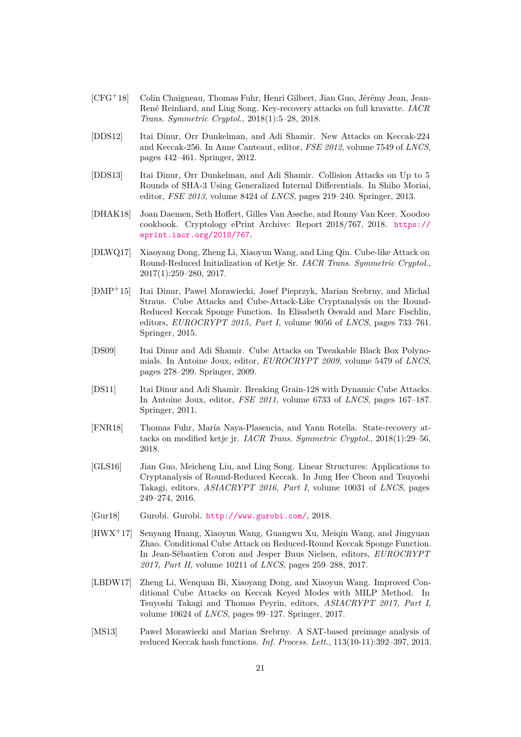- [CFG+18] Colin Chaigneau, Thomas Fuhr, Henri Gilbert, Jian Guo, Jérémy Jean, Jean-René Reinhard, and Ling Song. Key-recovery attacks on full kravatte. *IACR Trans. Symmetric Cryptol.*, 2018(1):5–28, 2018.
- <span id="page-20-11"></span>[DDS12] Itai Dinur, Orr Dunkelman, and Adi Shamir. New Attacks on Keccak-224 and Keccak-256. In Anne Canteaut, editor, *FSE 2012*, volume 7549 of *LNCS*, pages 442–461. Springer, 2012.
- <span id="page-20-1"></span>[DDS13] Itai Dinur, Orr Dunkelman, and Adi Shamir. Collision Attacks on Up to 5 Rounds of SHA-3 Using Generalized Internal Differentials. In Shiho Moriai, editor, *FSE 2013*, volume 8424 of *LNCS*, pages 219–240. Springer, 2013.
- <span id="page-20-2"></span>[DHAK18] Joan Daemen, Seth Hoffert, Gilles Van Assche, and Ronny Van Keer. Xoodoo cookbook. Cryptology ePrint Archive: Report 2018/767, 2018. https:// eprint.iacr.org/2018/767.
- <span id="page-20-12"></span>[DLWQ17] Xiaoyang Dong, Zheng Li, Xiaoyun Wang, and Ling Qin. Cube-like Attack on Round-Reduced Initialization of Ketje Sr. *IACR Trans. Symmetri[c Cryptol.](https://eprint.iacr.org/2018/767)*, [2017\(1\):259–280, 2017.](https://eprint.iacr.org/2018/767)
- <span id="page-20-6"></span>[DMP+15] Itai Dinur, Pawel Morawiecki, Josef Pieprzyk, Marian Srebrny, and Michal Straus. Cube Attacks and Cube-Attack-Like Cryptanalysis on the Round-Reduced Keccak Sponge Function. In Elisabeth Oswald and Marc Fischlin, editors, *EUROCRYPT 2015, Part I*, volume 9056 of *LNCS*, pages 733–761. Springer, 2015.
- <span id="page-20-4"></span>[DS09] Itai Dinur and Adi Shamir. Cube Attacks on Tweakable Black Box Polynomials. In Antoine Joux, editor, *EUROCRYPT 2009*, volume 5479 of *LNCS*, pages 278–299. Springer, 2009.
- <span id="page-20-5"></span>[DS11] Itai Dinur and Adi Shamir. Breaking Grain-128 with Dynamic Cube Attacks. In Antoine Joux, editor, *FSE 2011*, volume 6733 of *LNCS*, pages 167–187. Springer, 2011.
- <span id="page-20-7"></span>[FNR18] Thomas Fuhr, María Naya-Plasencia, and Yann Rotella. State-recovery attacks on modified ketje jr. *IACR Trans. Symmetric Cryptol.*, 2018(1):29–56, 2018.
- <span id="page-20-10"></span>[GLS16] Jian Guo, Meicheng Liu, and Ling Song. Linear Structures: Applications to Cryptanalysis of Round-Reduced Keccak. In Jung Hee Cheon and Tsuyoshi Takagi, editors, *ASIACRYPT 2016, Part I*, volume 10031 of *LNCS*, pages 249–274, 2016.
- <span id="page-20-3"></span>[Gur18] Gurobi. Gurobi. http://www.gurobi.com/, 2018.
- <span id="page-20-13"></span>[HWX<sup>+</sup>17] Senyang Huang, Xiaoyun Wang, Guangwu Xu, Meiqin Wang, and Jingyuan Zhao. Conditional Cube Attack on Reduced-Round Keccak Sponge Function. In Jean-Sébastie[n Coron and Jesper Buus](http://www.gurobi.com/) Nielsen, editors, *EUROCRYPT 2017, Part II*, volume 10211 of *LNCS*, pages 259–288, 2017.
- <span id="page-20-8"></span>[LBDW17] Zheng Li, Wenquan Bi, Xiaoyang Dong, and Xiaoyun Wang. Improved Conditional Cube Attacks on Keccak Keyed Modes with MILP Method. In Tsuyoshi Takagi and Thomas Peyrin, editors, *ASIACRYPT 2017, Part I*, volume 10624 of *LNCS*, pages 99–127. Springer, 2017.
- <span id="page-20-9"></span><span id="page-20-0"></span>[MS13] Pawel Morawiecki and Marian Srebrny. A SAT-based preimage analysis of reduced Keccak hash functions. *Inf. Process. Lett.*, 113(10-11):392–397, 2013.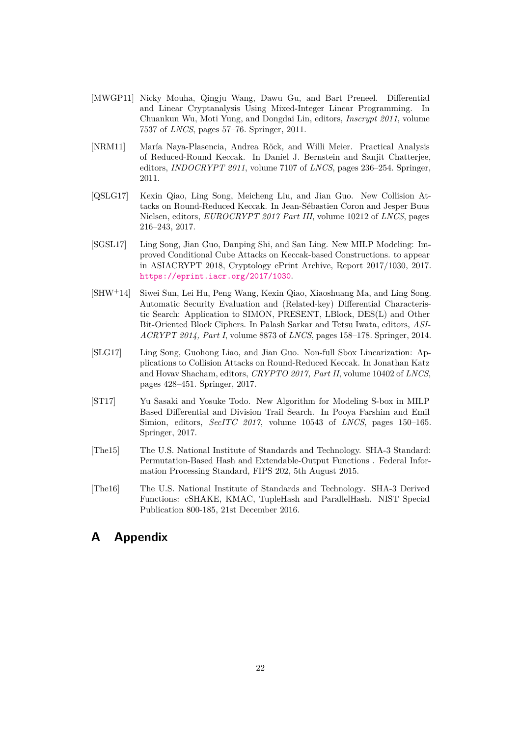- [MWGP11] Nicky Mouha, Qingju Wang, Dawu Gu, and Bart Preneel. Differential and Linear Cryptanalysis Using Mixed-Integer Linear Programming. In Chuankun Wu, Moti Yung, and Dongdai Lin, editors, *Inscrypt 2011*, volume 7537 of *LNCS*, pages 57–76. Springer, 2011.
- <span id="page-21-3"></span>[NRM11] María Naya-Plasencia, Andrea Röck, and Willi Meier. Practical Analysis of Reduced-Round Keccak. In Daniel J. Bernstein and Sanjit Chatterjee, editors, *INDOCRYPT 2011*, volume 7107 of *LNCS*, pages 236–254. Springer, 2011.
- <span id="page-21-0"></span>[QSLG17] Kexin Qiao, Ling Song, Meicheng Liu, and Jian Guo. New Collision Attacks on Round-Reduced Keccak. In Jean-Sébastien Coron and Jesper Buus Nielsen, editors, *EUROCRYPT 2017 Part III*, volume 10212 of *LNCS*, pages 216–243, 2017.
- <span id="page-21-1"></span>[SGSL17] Ling Song, Jian Guo, Danping Shi, and San Ling. New MILP Modeling: Improved Conditional Cube Attacks on Keccak-based Constructions. to appear in ASIACRYPT 2018, Cryptology ePrint Archive, Report 2017/1030, 2017. https://eprint.iacr.org/2017/1030.
- <span id="page-21-4"></span>[SHW+14] Siwei Sun, Lei Hu, Peng Wang, Kexin Qiao, Xiaoshuang Ma, and Ling Song. Automatic Security Evaluation and (Related-key) Differential Characteristic Search: Application to SIMON, PRESENT, LBlock, DES(L) and Other [Bit-Oriented Block Ciphers. In Palash S](https://eprint.iacr.org/2017/1030)arkar and Tetsu Iwata, editors, *ASI-ACRYPT 2014, Part I*, volume 8873 of *LNCS*, pages 158–178. Springer, 2014.
- <span id="page-21-6"></span>[SLG17] Ling Song, Guohong Liao, and Jian Guo. Non-full Sbox Linearization: Applications to Collision Attacks on Round-Reduced Keccak. In Jonathan Katz and Hovav Shacham, editors, *CRYPTO 2017, Part II*, volume 10402 of *LNCS*, pages 428–451. Springer, 2017.
- <span id="page-21-2"></span>[ST17] Yu Sasaki and Yosuke Todo. New Algorithm for Modeling S-box in MILP Based Differential and Division Trail Search. In Pooya Farshim and Emil Simion, editors, *SecITC 2017*, volume 10543 of *LNCS*, pages 150–165. Springer, 2017.
- <span id="page-21-7"></span>[The15] The U.S. National Institute of Standards and Technology. SHA-3 Standard: Permutation-Based Hash and Extendable-Output Functions . Federal Information Processing Standard, FIPS 202, 5th August 2015.
- [The16] The U.S. National Institute of Standards and Technology. SHA-3 Derived Functions: cSHAKE, KMAC, TupleHash and ParallelHash. NIST Special Publication 800-185, 21st December 2016.

## <span id="page-21-5"></span>**A Appendix**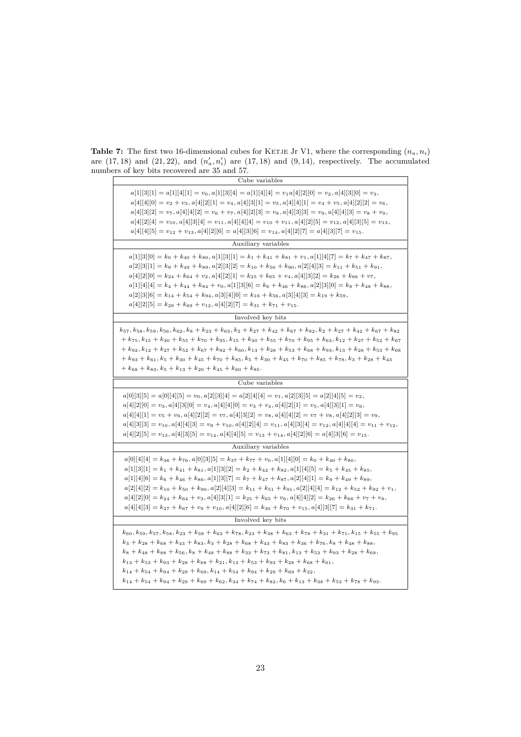<span id="page-22-0"></span>**Table 7:** The first two 16-dimensional cubes for KETJE Jr V1, where the corresponding  $(n_a, n_i)$ are  $(17, 18)$  and  $(21, 22)$ , and  $(n'_a, n'_i)$  are  $(17, 18)$  and  $(9, 14)$ , respectively. The accumulated numbers of key bits recovered are 35 and 57.

| Cube variables                                                                                                                                                                                                                                                                                                                                                                                                                                                                                                                                                                                                                                                                                                                                                                        |
|---------------------------------------------------------------------------------------------------------------------------------------------------------------------------------------------------------------------------------------------------------------------------------------------------------------------------------------------------------------------------------------------------------------------------------------------------------------------------------------------------------------------------------------------------------------------------------------------------------------------------------------------------------------------------------------------------------------------------------------------------------------------------------------|
| $a[1][3][1] = a[1][4][1] = v_0, a[1][3][4] = a[1][4][4] = v_1a[4][2][0] = v_2, a[4][3][0] = v_3,$<br>$a[4][4][0] = v_2 + v_3$ , $a[4][2][1] = v_4$ , $a[4][3][1] = v_5$ , $a[4][4][1] = v_4 + v_5$ , $a[4][2][2] = v_6$ ,<br>$a[4][3][2] = v_7, a[4][4][2] = v_6 + v_7, a[4][2][3] = v_8, a[4][3][3] = v_9, a[4][4][3] = v_8 + v_9,$<br>$a[4][2][4] = v_{10}, a[4][3][4] = v_{11}, a[4][4][4] = v_{10} + v_{11}, a[4][2][5] = v_{12}, a[4][3][5] = v_{13},$<br>$a[4][4][5] = v_{12} + v_{13}, a[4][2][6] = a[4][3][6] = v_{14}, a[4][2][7] = a[4][3][7] = v_{15}.$                                                                                                                                                                                                                    |
| Auxiliary variables                                                                                                                                                                                                                                                                                                                                                                                                                                                                                                                                                                                                                                                                                                                                                                   |
| $a[1][3][0] = k_0 + k_{40} + k_{80}, a[1][3][1] = k_1 + k_{41} + k_{81} + v_1, a[1][4][7] = k_7 + k_{47} + k_{87}$<br>$a[2][3][1] = k_9 + k_{49} + k_{89}, a[2][3][2] = k_{10} + k_{50} + k_{90}, a[2][4][3] = k_{11} + k_{51} + k_{91},$<br>$a[4][2][0] = k_{24} + k_{64} + v_2, a[4][2][1] = k_{25} + k_{65} + v_4, a[4][3][2] = k_{26} + k_{66} + v_7,$<br>$a[1][4][4] = k_4 + k_{44} + k_{84} + v_0, \\ a[1][3][6] = k_6 + k_{46} + k_{86}, \\ a[2][3][0] = k_8 + k_{48} + k_{88},$<br>$a[2][3][6] = k_{14} + k_{54} + k_{94}, a[3][4][0] = k_{16} + k_{56}, a[3][4][3] = k_{19} + k_{59},$<br>$a[4][2][5] = k_{29} + k_{69} + v_{12}, a[4][2][7] = k_{31} + k_{71} + v_{15}.$                                                                                                    |
| Involved key bits                                                                                                                                                                                                                                                                                                                                                                                                                                                                                                                                                                                                                                                                                                                                                                     |
| $k_{57}, k_{58}, k_{59}, k_{56}, k_{62}, k_8 + k_{23} + k_{63}, k_2 + k_{27} + k_{42} + k_{67} + k_{82}, k_2 + k_{27} + k_{42} + k_{67} + k_{82}$<br>$k_1 + k_{75}$ , $k_{15} + k_{30} + k_{55} + k_{70} + k_{95}$ , $k_{15} + k_{30} + k_{55} + k_{70} + k_{95} + k_{63}$ , $k_{12} + k_{27} + k_{52} + k_{67}$<br>$+ k_{92}, k_{12} + k_{27} + k_{52} + k_{67} + k_{92} + k_{60}, k_{13} + k_{28} + k_{53} + k_{68} + k_{93}, k_{13} + k_{28} + k_{53} + k_{68}$<br>$+ k_{93} + k_{61}, k_5 + k_{30} + k_{45} + k_{70} + k_{85}, k_5 + k_{30} + k_{45} + k_{70} + k_{85} + k_{78}, k_3 + k_{28} + k_{43}$<br>$+ k_{68} + k_{83}, k_5 + k_{13} + k_{20} + k_{45} + k_{60} + k_{85}.$                                                                                                 |
| Cube variables                                                                                                                                                                                                                                                                                                                                                                                                                                                                                                                                                                                                                                                                                                                                                                        |
| $a[0][3][5] = a[0][4][5] = v_0, a[2][3][4] = a[2][4][4] = v_1, a[2][3][5] = a[2][4][5] = v_2,$<br>$a[4][2][0] = v_3, a[4][3][0] = v_4, a[4][4][0] = v_3 + v_4, a[4][2][1] = v_5, a[4][3][1] = v_6,$<br>$a[4][4][1] = v_5 + v_6, a[4][2][2] = v_7, a[4][3][2] = v_8, a[4][4][2] = v_7 + v_8, a[4][2][3] = v_9,$<br>$a[4][3][3] = v_{10}, a[4][4][3] = v_9 + v_{10}, a[4][2][4] = v_{11}, a[4][3][4] = v_{12}, a[4][4][4] = v_{11} + v_{12},$<br>$a[4][2][5] = v_{13}, a[4][3][5] = v_{14}, a[4][4][5] = v_{13} + v_{14}, a[4][2][6] = a[4][3][6] = v_{15}.$                                                                                                                                                                                                                            |
| Auxiliary variables                                                                                                                                                                                                                                                                                                                                                                                                                                                                                                                                                                                                                                                                                                                                                                   |
| $a[0][4][4] = k_{36} + k_{76}, a[0][3][5] = k_{37} + k_{77} + v_0, a[1][4][0] = k_0 + k_{40} + k_{80},$<br>$a[1][3][1] = k_1 + k_{41} + k_{81}, a[1][3][2] = k_2 + k_{42} + k_{82}, a[1][4][5] = k_5 + k_{45} + k_{85}$<br>$a[1][4][6] = k_6 + k_{46} + k_{86}, a[1][3][7] = k_7 + k_{47} + k_{87}, a[2][4][1] = k_9 + k_{49} + k_{89},$<br>$a[2][4][2] = k_{10} + k_{50} + k_{90}, a[2][4][3] = k_{11} + k_{51} + k_{91}, a[2][4][4] = k_{12} + k_{52} + k_{92} + v_1,$<br>$a[4][2][0] = k_{24} + k_{64} + v_3$ , $a[4][3][1] = k_{25} + k_{65} + v_6$ , $a[4][4][2] = k_{26} + k_{66} + v_7 + v_8$ ,<br>$a[4][4][3] = k_{27} + k_{67} + v_9 + v_{10}, a[4][2][6] = k_{30} + k_{70} + v_{15}, a[4][3][7] = k_{31} + k_{71}.$                                                         |
| Involved key bits                                                                                                                                                                                                                                                                                                                                                                                                                                                                                                                                                                                                                                                                                                                                                                     |
| $k_{60}, k_{59}, k_{57}, k_{58}, k_{23} + k_{38} + k_{63} + k_{78}, k_{23} + k_{38} + k_{63} + k_{78} + k_{31} + k_{71}, k_{15} + k_{55} + k_{95}$<br>$k_3 + k_{28} + k_{68} + k_{43} + k_{83}, k_3 + k_{28} + k_{68} + k_{43} + k_{83} + k_{36} + k_{76}, k_8 + k_{48} + k_{88}$<br>$k_8 + k_{48} + k_{88} + k_{56}$ , $k_8 + k_{48} + k_{88} + k_{33} + k_{73} + k_{81}$ , $k_{13} + k_{53} + k_{93} + k_{28} + k_{68}$ ,<br>$k_{13} + k_{53} + k_{93} + k_{28} + k_{68} + k_{21}, k_{13} + k_{53} + k_{93} + k_{28} + k_{68} + k_{61}$<br>$k_{14} + k_{54} + k_{94} + k_{29} + k_{69}, k_{14} + k_{54} + k_{94} + k_{29} + k_{69} + k_{22},$<br>$k_{14} + k_{54} + k_{94} + k_{29} + k_{69} + k_{62}, k_{34} + k_{74} + k_{82}, k_6 + k_{13} + k_{38} + k_{53} + k_{78} + k_{93}.$ |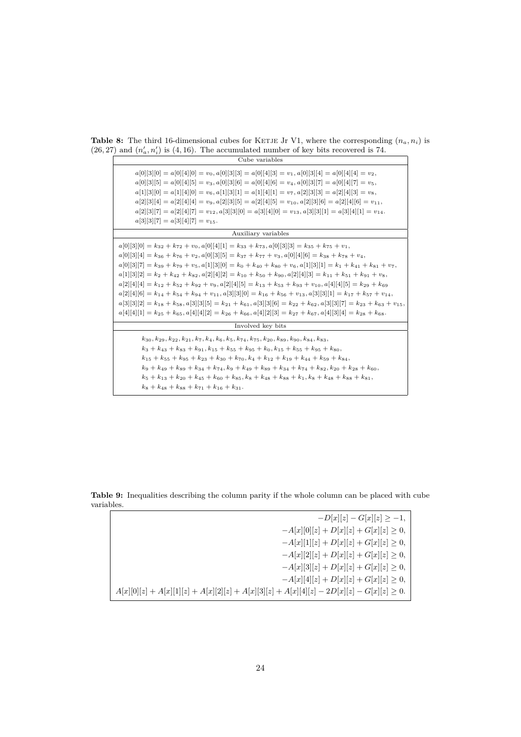<span id="page-23-0"></span>**Table 8:** The third 16-dimensional cubes for KETJE Jr V1, where the corresponding  $(n_a, n_i)$  is  $(26, 27)$  and  $(n'_a, n'_i)$  is  $(4, 16)$ . The accumulated number of key bits recovered is 74.

| Cube variables                                                                                                                                                                                                                                                                                                                                                                                                                                                                                                                                                                                                                                                                                                                                                                                                                                                                                                                                                                                                                                                         |
|------------------------------------------------------------------------------------------------------------------------------------------------------------------------------------------------------------------------------------------------------------------------------------------------------------------------------------------------------------------------------------------------------------------------------------------------------------------------------------------------------------------------------------------------------------------------------------------------------------------------------------------------------------------------------------------------------------------------------------------------------------------------------------------------------------------------------------------------------------------------------------------------------------------------------------------------------------------------------------------------------------------------------------------------------------------------|
| $a[0][3][0] = a[0][4][0] = v_0, a[0][3][3] = a[0][4][3] = v_1, a[0][3][4] = a[0][4][4] = v_2,$<br>$a[0][3][5] = a[0][4][5] = v_3, a[0][3][6] = a[0][4][6] = v_4, a[0][3][7] = a[0][4][7] = v_5,$<br>$a[1][3][0] = a[1][4][0] = v_6, a[1][3][1] = a[1][4][1] = v_7, a[2][3][3] = a[2][4][3] = v_8,$<br>$a[2][3][4] = a[2][4][4] = v_9, a[2][3][5] = a[2][4][5] = v_{10}, a[2][3][6] = a[2][4][6] = v_{11},$<br>$a[2][3][7] = a[2][4][7] = v_{12}, a[3][3][0] = a[3][4][0] = v_{13}, a[3][3][1] = a[3][4][1] = v_{14}.$<br>$a[3][3][7] = a[3][4][7] = v_{15}.$                                                                                                                                                                                                                                                                                                                                                                                                                                                                                                           |
| Auxiliary variables                                                                                                                                                                                                                                                                                                                                                                                                                                                                                                                                                                                                                                                                                                                                                                                                                                                                                                                                                                                                                                                    |
| $a[0][3][0] = k_{32} + k_{72} + v_0, a[0][4][1] = k_{33} + k_{73}, a[0][3][3] = k_{35} + k_{75} + v_1,$<br>$a[0][3][4] = k_{36} + k_{76} + v_2$ , $a[0][3][5] = k_{37} + k_{77} + v_3$ , $a[0][4][6] = k_{38} + k_{78} + v_4$ ,<br>$a[0][3][7] = k_{39} + k_{79} + v_5$ , $a[1][3][0] = k_0 + k_{40} + k_{80} + v_6$ , $a[1][3][1] = k_1 + k_{41} + k_{81} + v_7$ ,<br>$a[1][3][2] = k_2 + k_{42} + k_{82}, a[2][4][2] = k_{10} + k_{50} + k_{90}, a[2][4][3] = k_{11} + k_{51} + k_{91} + v_8,$<br>$a[2][4][4] = k_{12} + k_{52} + k_{92} + v_9$ , $a[2][4][5] = k_{13} + k_{53} + k_{93} + v_{10}$ , $a[4][4][5] = k_{29} + k_{69}$<br>$a[2][4][6] = k_{14} + k_{54} + k_{94} + v_{11}$ , $a[3][3][0] = k_{16} + k_{56} + v_{13}$ , $a[3][3][1] = k_{17} + k_{57} + v_{14}$ ,<br>$a[3][3][2] = k_{18} + k_{58}$ , $a[3][3][5] = k_{21} + k_{61}$ , $a[3][3][6] = k_{22} + k_{62}$ , $a[3][3][7] = k_{23} + k_{63} + v_{15}$ ,<br>$a[4][4][1] = k_{25} + k_{65}$ , $a[4][4][2] = k_{26} + k_{66}$ , $a[4][2][3] = k_{27} + k_{67}$ , $a[4][3][4] = k_{28} + k_{68}$ . |
| Involved key bits                                                                                                                                                                                                                                                                                                                                                                                                                                                                                                                                                                                                                                                                                                                                                                                                                                                                                                                                                                                                                                                      |
| $k_{30}, k_{29}, k_{22}, k_{21}, k_7, k_4, k_6, k_5, k_{74}, k_{75}, k_{20}, k_{89}, k_{90}, k_{84}, k_{83}$<br>$k_3 + k_{43} + k_{83} + k_{91}, k_{15} + k_{55} + k_{95} + k_0, k_{15} + k_{55} + k_{95} + k_{80},$<br>$k_{15} + k_{55} + k_{95} + k_{23} + k_{30} + k_{70}$ , $k_4 + k_{12} + k_{19} + k_{44} + k_{59} + k_{84}$ ,<br>$k_9 + k_{49} + k_{89} + k_{34} + k_{74}, k_9 + k_{49} + k_{89} + k_{34} + k_{74} + k_{82}, k_{20} + k_{28} + k_{60}$<br>$k_5 + k_{13} + k_{20} + k_{45} + k_{60} + k_{85}$ , $k_8 + k_{48} + k_{88} + k_{11}$ , $k_8 + k_{48} + k_{88} + k_{81}$<br>$k_8 + k_{48} + k_{88} + k_{71} + k_{16} + k_{31}$ .                                                                                                                                                                                                                                                                                                                                                                                                                      |

**Table 9:** Inequalities describing the column parity if the whole column can be placed with cube variables.

| $-D x  z  - G x  z  \ge -1,$                                                                 |
|----------------------------------------------------------------------------------------------|
| $-A x  0  z  + D x  z  + G x  z  \geq 0,$                                                    |
| $-A x  1  z  + D x  z  + G x  z  \geq 0,$                                                    |
| $-A[x][2][z]+D[x][z]+G[x][z]\geq 0,$                                                         |
| $-A[x][3][z]+D[x][z]+G[x][z]>0,$                                                             |
| $-A x  4  z  + D x  z  + G x  z  \geq 0,$                                                    |
| $A[x][0][z] + A[x][1][z] + A[x][2][z] + A[x][3][z] + A[x][4][z] - 2D[x][z] - G[x][z] \ge 0.$ |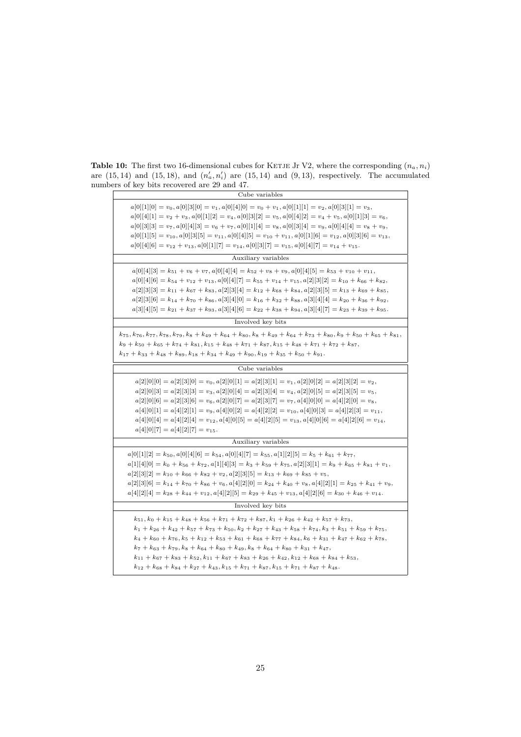<span id="page-24-0"></span>**Table 10:** The first two 16-dimensional cubes for KETJE Jr V2, where the corresponding  $(n_a, n_i)$ are  $(15, 14)$  and  $(15, 18)$ , and  $(n'_a, n'_i)$  are  $(15, 14)$  and  $(9, 13)$ , respectively. The accumulated numbers of key bits recovered are 29 and 47.

| Cube variables                                                                                                                                                                                                                                                                                                                                                                                                                                                                                                                                                                                                                                                                                                              |
|-----------------------------------------------------------------------------------------------------------------------------------------------------------------------------------------------------------------------------------------------------------------------------------------------------------------------------------------------------------------------------------------------------------------------------------------------------------------------------------------------------------------------------------------------------------------------------------------------------------------------------------------------------------------------------------------------------------------------------|
| $a[0][1][0] = v_0, a[0][3][0] = v_1, a[0][4][0] = v_0 + v_1, a[0][1][1] = v_2, a[0][3][1] = v_3,$<br>$a[0][4][1] = v_2 + v_3$ , $a[0][1][2] = v_4$ , $a[0][3][2] = v_5$ , $a[0][4][2] = v_4 + v_5$ , $a[0][1][3] = v_6$ ,<br>$a[0][3][3] = v_7, a[0][4][3] = v_6 + v_7, a[0][1][4] = v_8, a[0][3][4] = v_9, a[0][4][4] = v_8 + v_9,$<br>$a[0][1][5] = v_{10}, a[0][3][5] = v_{11}, a[0][4][5] = v_{10} + v_{11}, a[0][1][6] = v_{12}, a[0][3][6] = v_{13},$<br>$a[0][4][6] = v_{12} + v_{13}, a[0][1][7] = v_{14}, a[0][3][7] = v_{15}, a[0][4][7] = v_{14} + v_{15}.$                                                                                                                                                      |
| Auxiliary variables                                                                                                                                                                                                                                                                                                                                                                                                                                                                                                                                                                                                                                                                                                         |
| $a[0][4][3] = k_{51} + v_6 + v_7$ , $a[0][4][4] = k_{52} + v_8 + v_9$ , $a[0][4][5] = k_{53} + v_{10} + v_{11}$ ,<br>$a[0][4][6] = k_{54} + v_{12} + v_{13}, a[0][4][7] = k_{55} + v_{14} + v_{15}, a[2][3][2] = k_{10} + k_{66} + k_{82},$<br>$a[2][3][3] = k_{11} + k_{67} + k_{83}, a[2][3][4] = k_{12} + k_{68} + k_{84}, a[2][3][5] = k_{13} + k_{69} + k_{85}$<br>$a[2][3][6] = k_{14} + k_{70} + k_{86}, a[3][4][0] = k_{16} + k_{32} + k_{88}, a[3][4][4] = k_{20} + k_{36} + k_{92},$<br>$a[3][4][5] = k_{21} + k_{37} + k_{93}, a[3][4][6] = k_{22} + k_{38} + k_{94}, a[3][4][7] = k_{23} + k_{39} + k_{95}.$                                                                                                    |
| Involved key bits                                                                                                                                                                                                                                                                                                                                                                                                                                                                                                                                                                                                                                                                                                           |
| $k_{75}$ , $k_{76}$ , $k_{77}$ , $k_{78}$ , $k_{79}$ , $k_{8}$ + $k_{49}$ + $k_{64}$ + $k_{80}$ , $k_{8}$ + $k_{64}$ + $k_{73}$ + $k_{80}$ , $k_{9}$ + $k_{50}$ + $k_{65}$ + $k_{81}$ ,<br>$k_9 + k_{50} + k_{65} + k_{74} + k_{81}, k_{15} + k_{48} + k_{71} + k_{87}, k_{15} + k_{48} + k_{71} + k_{72} + k_{87}$<br>$k_{17} + k_{33} + k_{48} + k_{89}, k_{18} + k_{34} + k_{49} + k_{90}, k_{19} + k_{35} + k_{50} + k_{91}.$                                                                                                                                                                                                                                                                                           |
| Cube variables                                                                                                                                                                                                                                                                                                                                                                                                                                                                                                                                                                                                                                                                                                              |
| $a[2][0][0] = a[2][3][0] = v_0, a[2][0][1] = a[2][3][1] = v_1, a[2][0][2] = a[2][3][2] = v_2,$<br>$a[2][0][3] = a[2][3][3] = v_3, a[2][0][4] = a[2][3][4] = v_4, a[2][0][5] = a[2][3][5] = v_5,$<br>$a[2][0][6] = a[2][3][6] = v_6, a[2][0][7] = a[2][3][7] = v_7, a[4][0][0] = a[4][2][0] = v_8,$<br>$a[4][0][1] = a[4][2][1] = v_9$ , $a[4][0][2] = a[4][2][2] = v_{10}$ , $a[4][0][3] = a[4][2][3] = v_{11}$ ,<br>$a[4][0][4] = a[4][2][4] = v_{12}, a[4][0][5] = a[4][2][5] = v_{13}, a[4][0][6] = a[4][2][6] = v_{14},$<br>$a[4][0][7] = a[4][2][7] = v_{15}.$                                                                                                                                                         |
| Auxiliary variables                                                                                                                                                                                                                                                                                                                                                                                                                                                                                                                                                                                                                                                                                                         |
| $a[0][1][2] = k_{50}, a[0][4][6] = k_{54}, a[0][4][7] = k_{55}, a[1][2][5] = k_5 + k_{61} + k_{77}$<br>$a[1][4][0] = k_0 + k_{56} + k_{72}, a[1][4][3] = k_3 + k_{59} + k_{75}, a[2][3][1] = k_9 + k_{65} + k_{81} + v_1,$<br>$a[2][3][2] = k_{10} + k_{66} + k_{82} + v_2, a[2][3][5] = k_{13} + k_{69} + k_{85} + v_5,$<br>$a[2][3][6] = k_{14} + k_{70} + k_{86} + v_6, a[4][2][0] = k_{24} + k_{40} + v_8, a[4][2][1] = k_{25} + k_{41} + v_9,$<br>$a[4][2][4] = k_{28} + k_{44} + v_{12}, a[4][2][5] = k_{29} + k_{45} + v_{13}, a[4][2][6] = k_{30} + k_{46} + v_{14}.$                                                                                                                                               |
| Involved key bits                                                                                                                                                                                                                                                                                                                                                                                                                                                                                                                                                                                                                                                                                                           |
| $k_{51}, k_0 + k_{15} + k_{48} + k_{56} + k_{71} + k_{72} + k_{87}, k_1 + k_{26} + k_{42} + k_{57} + k_{73}$<br>$k_1 + k_{26} + k_{42} + k_{57} + k_{73} + k_{50}$ , $k_2 + k_{27} + k_{43} + k_{58} + k_{74}$ , $k_3 + k_{51} + k_{59} + k_{75}$ ,<br>$k_4 + k_{60} + k_{76}, k_5 + k_{12} + k_{53} + k_{61} + k_{68} + k_{77} + k_{84}, k_6 + k_{31} + k_{47} + k_{62} + k_{78},$<br>$k_7 + k_{63} + k_{79}, k_8 + k_{64} + k_{80} + k_{49}, k_8 + k_{64} + k_{80} + k_{31} + k_{47}$<br>$k_{11} + k_{67} + k_{83} + k_{52}, k_{11} + k_{67} + k_{83} + k_{26} + k_{42}, k_{12} + k_{68} + k_{84} + k_{53}$<br>$k_{12} + k_{68} + k_{84} + k_{27} + k_{43}, k_{15} + k_{71} + k_{87}, k_{15} + k_{71} + k_{87} + k_{48}.$ |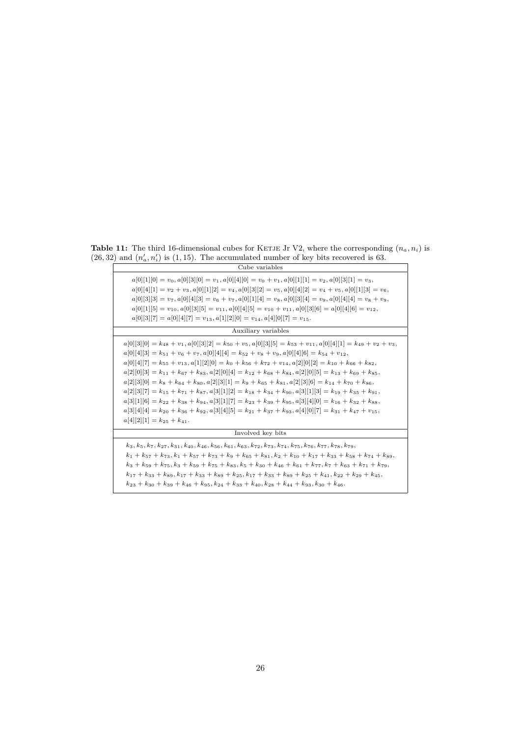<span id="page-25-0"></span>**Table 11:** The third 16-dimensional cubes for KETJE Jr V2, where the corresponding  $(n_a, n_i)$  is  $(26, 32)$  and  $(n'_a, n'_i)$  is  $(1, 15)$ . The accumulated number of key bits recovered is 63.

| Cube variables                                                                                                                                                                                                                                                                                                                                                                                                                                                                                                                                                                                                                                                                                                                                                                                                                                                                                                                                                                                                                |
|-------------------------------------------------------------------------------------------------------------------------------------------------------------------------------------------------------------------------------------------------------------------------------------------------------------------------------------------------------------------------------------------------------------------------------------------------------------------------------------------------------------------------------------------------------------------------------------------------------------------------------------------------------------------------------------------------------------------------------------------------------------------------------------------------------------------------------------------------------------------------------------------------------------------------------------------------------------------------------------------------------------------------------|
| $a[0][1][0] = v_0, a[0][3][0] = v_1, a[0][4][0] = v_0 + v_1, a[0][1][1] = v_2, a[0][3][1] = v_3,$<br>$a[0][4][1] = v_2 + v_3, a[0][1][2] = v_4, a[0][3][2] = v_5, a[0][4][2] = v_4 + v_5, a[0][1][3] = v_6,$<br>$a[0][3][3] = v_7, a[0][4][3] = v_6 + v_7, a[0][1][4] = v_8, a[0][3][4] = v_9, a[0][4][4] = v_8 + v_9,$<br>$a[0][1][5] = v_{10}, a[0][3][5] = v_{11}, a[0][4][5] = v_{10} + v_{11}, a[0][3][6] = a[0][4][6] = v_{12},$<br>$a[0][3][7] = a[0][4][7] = v_{13}, a[1][2][0] = v_{14}, a[4][0][7] = v_{15}.$                                                                                                                                                                                                                                                                                                                                                                                                                                                                                                       |
| Auxiliary variables                                                                                                                                                                                                                                                                                                                                                                                                                                                                                                                                                                                                                                                                                                                                                                                                                                                                                                                                                                                                           |
| $a[0][3][0] = k_{48} + v_1, a[0][3][2] = k_{50} + v_5, a[0][3][5] = k_{53} + v_{11}, a[0][4][1] = k_{49} + v_2 + v_3,$<br>$a[0][4][3] = k_{51} + v_6 + v_7$ , $a[0][4][4] = k_{52} + v_8 + v_9$ , $a[0][4][6] = k_{54} + v_{12}$ ,<br>$a[0][4][7] = k_{55} + v_{13}, a[1][2][0] = k_0 + k_{56} + k_{72} + v_{14}, a[2][0][2] = k_{10} + k_{66} + k_{82},$<br>$a[2][0][3] = k_{11} + k_{67} + k_{83}, a[2][0][4] = k_{12} + k_{68} + k_{84}, a[2][0][5] = k_{13} + k_{69} + k_{85}$<br>$a[2][3][0] = k_8 + k_{64} + k_{80}, a[2][3][1] = k_9 + k_{65} + k_{81}, a[2][3][6] = k_{14} + k_{70} + k_{86},$<br>$a[2][3][7] = k_{15} + k_{71} + k_{87}$ , $a[3][1][2] = k_{18} + k_{34} + k_{90}$ , $a[3][1][3] = k_{19} + k_{35} + k_{91}$ ,<br>$a[3][1][6] = k_{22} + k_{38} + k_{94}, a[3][1][7] = k_{23} + k_{39} + k_{95}, a[3][4][0] = k_{16} + k_{32} + k_{88},$<br>$a[3][4][4] = k_{20} + k_{36} + k_{92}, a[3][4][5] = k_{21} + k_{37} + k_{93}, a[4][0][7] = k_{31} + k_{47} + v_{15}$<br>$a[4][2][1] = k_{25} + k_{41}.$ |
| Involved key bits                                                                                                                                                                                                                                                                                                                                                                                                                                                                                                                                                                                                                                                                                                                                                                                                                                                                                                                                                                                                             |
| $k_3, k_5, k_7, k_{27}, k_{31}, k_{40}, k_{46}, k_{56}, k_{61}, k_{63}, k_{72}, k_{73}, k_{74}, k_{75}, k_{76}, k_{77}, k_{78}, k_{79}$<br>$k_1 + k_5$ $\tau$ + $k_{73}$ , $k_1 + k_{57} + k_{73} + k_9 + k_{65} + k_{81}$ , $k_2 + k_{10} + k_{17} + k_{33} + k_{58} + k_{74} + k_{89}$ ,<br>$k_3 + k_{59} + k_{75}$ , $k_3 + k_{59} + k_{75} + k_{83}$ , $k_5 + k_{30} + k_{46} + k_{61} + k_{77}$ , $k_7 + k_{63} + k_{71} + k_{79}$ ,<br>$k_{17} + k_{33} + k_{89}, k_{17} + k_{33} + k_{89} + k_{25}, k_{17} + k_{33} + k_{89} + k_{25} + k_{41}, k_{22} + k_{29} + k_{45}$<br>$k_{23} + k_{30} + k_{39} + k_{46} + k_{95}$ , $k_{24} + k_{33} + k_{40}$ , $k_{28} + k_{44} + k_{93}$ , $k_{30} + k_{46}$ .                                                                                                                                                                                                                                                                                                              |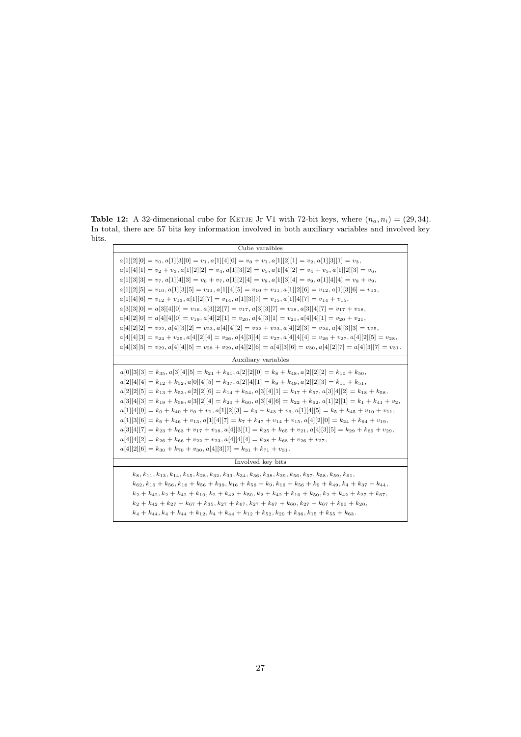<span id="page-26-0"></span>**Table 12:** A 32-dimensional cube for KETJE Jr V1 with 72-bit keys, where  $(n_a, n_i) = (29, 34)$ . In total, there are 57 bits key information involved in both auxiliary variables and involved key bits.

| Cube varaibles                                                                                                                                                                                                                                                                                                                                                                                                                                                                                                                                                                                                                                                                                                                                                                                                                                                                                                                                                                                                                                                                                                                                                                                      |
|-----------------------------------------------------------------------------------------------------------------------------------------------------------------------------------------------------------------------------------------------------------------------------------------------------------------------------------------------------------------------------------------------------------------------------------------------------------------------------------------------------------------------------------------------------------------------------------------------------------------------------------------------------------------------------------------------------------------------------------------------------------------------------------------------------------------------------------------------------------------------------------------------------------------------------------------------------------------------------------------------------------------------------------------------------------------------------------------------------------------------------------------------------------------------------------------------------|
| $a[1][2][0] = v_0, a[1][3][0] = v_1, a[1][4][0] = v_0 + v_1, a[1][2][1] = v_2, a[1][3][1] = v_3,$<br>$a[1][4][1] = v_2 + v_3$ , $a[1][2][2] = v_4$ , $a[1][3][2] = v_5$ , $a[1][4][2] = v_4 + v_5$ , $a[1][2][3] = v_6$ ,<br>$a[1][3][3] = v_7, a[1][4][3] = v_6 + v_7, a[1][2][4] = v_8, a[1][3][4] = v_9, a[1][4][4] = v_8 + v_9,$<br>$a[1][2][5] = v_{10}, a[1][3][5] = v_{11}, a[1][4][5] = v_{10} + v_{11}, a[1][2][6] = v_{12}, a[1][3][6] = v_{13},$<br>$a[1][4][6] = v_{12} + v_{13}, a[1][2][7] = v_{14}, a[1][3][7] = v_{15}, a[1][4][7] = v_{14} + v_{15},$<br>$a[3][3][0] = a[3][4][0] = v_{16}, a[3][2][7] = v_{17}, a[3][3][7] = v_{18}, a[3][4][7] = v_{17} + v_{18}$<br>$a[4][2][0] = a[4][4][0] = v_{19}, a[4][2][1] = v_{20}, a[4][3][1] = v_{21}, a[4][4][1] = v_{20} + v_{21},$<br>$a[4][2][2] = v_{22}, a[4][3][2] = v_{23}, a[4][4][2] = v_{22} + v_{23}, a[4][2][3] = v_{24}, a[4][3][3] = v_{25},$<br>$a[4][4][3] = v_{24} + v_{25}$ , $a[4][2][4] = v_{26}$ , $a[4][3][4] = v_{27}$ , $a[4][4][4] = v_{26} + v_{27}$ , $a[4][2][5] = v_{28}$ ,<br>$a[4][3][5] = v_{29}, a[4][4][5] = v_{28} + v_{29}, a[4][2][6] = a[4][3][6] = v_{30}, a[4][2][7] = a[4][3][7] = v_{31}.$ |
| Auxiliary variables                                                                                                                                                                                                                                                                                                                                                                                                                                                                                                                                                                                                                                                                                                                                                                                                                                                                                                                                                                                                                                                                                                                                                                                 |
| $a[0][3][3] = k_{35}, a[3][4][5] = k_{21} + k_{61}, a[2][2][0] = k_8 + k_{48}, a[2][2][2] = k_{10} + k_{50},$<br>$a[2][4][4] = k_{12} + k_{52}, a[0][4][5] = k_{37}, a[2][4][1] = k_9 + k_{49}, a[2][2][3] = k_{11} + k_{51},$<br>$a[2][2][5] = k_{13} + k_{53}, a[2][2][6] = k_{14} + k_{54}, a[3][4][1] = k_{17} + k_{57}, a[3][4][2] = k_{18} + k_{58},$<br>$a[3][4][3] = k_{19} + k_{59}, a[3][2][4] = k_{20} + k_{60}, a[3][4][6] = k_{22} + k_{62}, a[1][2][1] = k_1 + k_{41} + v_2,$<br>$a[1][4][0] = k_0 + k_{40} + v_0 + v_1$ , $a[1][2][3] = k_3 + k_{43} + v_6$ , $a[1][4][5] = k_5 + k_{45} + v_{10} + v_{11}$ ,<br>$a[1][3][6] = k_6 + k_{46} + v_{13}, a[1][4][7] = k_7 + k_{47} + v_{14} + v_{15}, a[4][2][0] = k_{24} + k_{64} + v_{19},$<br>$a[3][4][7] = k_{23} + k_{63} + v_{17} + v_{18}, a[4][3][1] = k_{25} + k_{65} + v_{21}, a[4][3][5] = k_{29} + k_{69} + v_{29},$<br>$a[4][4][2] = k_{26} + k_{66} + v_{22} + v_{23}, a[4][4][4] = k_{28} + k_{68} + v_{26} + v_{27}$<br>$a[4][2][6] = k_{30} + k_{70} + v_{30}, a[4][3][7] = k_{31} + k_{71} + v_{31}.$                                                                                                                 |
| Involved key bits                                                                                                                                                                                                                                                                                                                                                                                                                                                                                                                                                                                                                                                                                                                                                                                                                                                                                                                                                                                                                                                                                                                                                                                   |
| $k_8, k_{11}, k_{13}, k_{14}, k_{15}, k_{28}, k_{32}, k_{33}, k_{34}, k_{36}, k_{38}, k_{39}, k_{56}, k_{57}, k_{58}, k_{59}, k_{61}$<br>$k_{62}, k_{16} + k_{56}, k_{16} + k_{56} + k_{39}, k_{16} + k_{56} + k_{9}, k_{16} + k_{56} + k_{9} + k_{49}, k_{4} + k_{37} + k_{44}$<br>$k_2 + k_{42}$ , $k_2 + k_{42} + k_{10}$ , $k_2 + k_{42} + k_{50}$ , $k_2 + k_{42} + k_{10} + k_{50}$ , $k_2 + k_{42} + k_{27} + k_{67}$ ,<br>$k_2 + k_{42} + k_{27} + k_{67} + k_{35}$ , $k_{27} + k_{67}$ , $k_{27} + k_{67} + k_{60}$ , $k_{27} + k_{67} + k_{60} + k_{20}$ ,<br>$k_4 + k_{44}, k_4 + k_{44} + k_{12}, k_4 + k_{44} + k_{12} + k_{52}, k_{29} + k_{36}, k_{15} + k_{55} + k_{63}$                                                                                                                                                                                                                                                                                                                                                                                                                                                                                                            |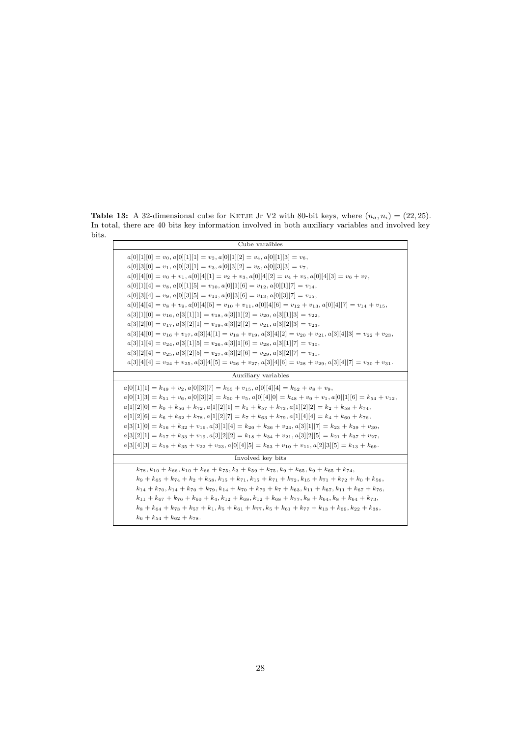<span id="page-27-0"></span>**Table 13:** A 32-dimensional cube for KETJE Jr V2 with 80-bit keys, where  $(n_a, n_i) = (22, 25)$ . In total, there are 40 bits key information involved in both auxiliary variables and involved key bits.

| Cube varaibles                                                                                                                                                                                                                                                                                                                                                                                                                                                                                                                                                                                                                                                                                                                                                                                                                                                                                                                                                                                       |
|------------------------------------------------------------------------------------------------------------------------------------------------------------------------------------------------------------------------------------------------------------------------------------------------------------------------------------------------------------------------------------------------------------------------------------------------------------------------------------------------------------------------------------------------------------------------------------------------------------------------------------------------------------------------------------------------------------------------------------------------------------------------------------------------------------------------------------------------------------------------------------------------------------------------------------------------------------------------------------------------------|
| $a[0][1][0] = v_0, a[0][1][1] = v_2, a[0][1][2] = v_4, a[0][1][3] = v_6,$<br>$a[0][3][0] = v_1, a[0][3][1] = v_3, a[0][3][2] = v_5, a[0][3][3] = v_7,$<br>$a[0][4][0] = v_0 + v_1$ , $a[0][4][1] = v_2 + v_3$ , $a[0][4][2] = v_4 + v_5$ , $a[0][4][3] = v_6 + v_7$ ,<br>$a[0][1][4] = v_8, a[0][1][5] = v_{10}, a[0][1][6] = v_{12}, a[0][1][7] = v_{14},$<br>$a[0][3][4] = v_9, a[0][3][5] = v_{11}, a[0][3][6] = v_{13}, a[0][3][7] = v_{15},$<br>$a[0][4][4] = v_8 + v_9$ , $a[0][4][5] = v_{10} + v_{11}$ , $a[0][4][6] = v_{12} + v_{13}$ , $a[0][4][7] = v_{14} + v_{15}$ ,<br>$a[3][1][0] = v_{16}, a[3][1][1] = v_{18}, a[3][1][2] = v_{20}, a[3][1][3] = v_{22},$<br>$a[3][2][0] = v_{17}, a[3][2][1] = v_{19}, a[3][2][2] = v_{21}, a[3][2][3] = v_{23},$<br>$a[3][4][0] = v_{16} + v_{17}$ , $a[3][4][1] = v_{18} + v_{19}$ , $a[3][4][2] = v_{20} + v_{21}$ , $a[3][4][3] = v_{22} + v_{23}$ ,<br>$a[3][1][4] = v_{24}, a[3][1][5] = v_{26}, a[3][1][6] = v_{28}, a[3][1][7] = v_{30},$ |
| $a[3][2][4] = v_{25}, a[3][2][5] = v_{27}, a[3][2][6] = v_{29}, a[3][2][7] = v_{31},$<br>$a[3][4][4] = v_{24} + v_{25}, a[3][4][5] = v_{26} + v_{27}, a[3][4][6] = v_{28} + v_{29}, a[3][4][7] = v_{30} + v_{31}.$                                                                                                                                                                                                                                                                                                                                                                                                                                                                                                                                                                                                                                                                                                                                                                                   |
| Auxiliary variables                                                                                                                                                                                                                                                                                                                                                                                                                                                                                                                                                                                                                                                                                                                                                                                                                                                                                                                                                                                  |
| $a[0][1][1] = k_{49} + v_2, a[0][3][7] = k_{55} + v_{15}, a[0][4][4] = k_{52} + v_8 + v_9,$<br>$a[0][1][3] = k_{51} + v_6$ , $a[0][3][2] = k_{50} + v_5$ , $a[0][4][0] = k_{48} + v_0 + v_1$ , $a[0][1][6] = k_{54} + v_{12}$ ,<br>$a[1][2][0] = k_0 + k_{56} + k_{72}, a[1][2][1] = k_1 + k_{57} + k_{73}, a[1][2][2] = k_2 + k_{58} + k_{74},$<br>$a[1][2][6] = k_6 + k_{62} + k_{78}, a[1][2][7] = k_7 + k_{63} + k_{79}, a[1][4][4] = k_4 + k_{60} + k_{76},$<br>$a[3][1][0] = k_{16} + k_{32} + v_{16}$ , $a[3][1][4] = k_{20} + k_{36} + v_{24}$ , $a[3][1][7] = k_{23} + k_{39} + v_{30}$ ,<br>$a[3][2][1] = k_{17} + k_{33} + v_{19}, a[3][2][2] = k_{18} + k_{34} + v_{21}, a[3][2][5] = k_{21} + k_{37} + v_{27}$<br>$a[3][4][3] = k_{19} + k_{35} + v_{22} + v_{23}, a[0][4][5] = k_{53} + v_{10} + v_{11}, a[2][3][5] = k_{13} + k_{69}.$                                                                                                                                                |
| Involved key bits                                                                                                                                                                                                                                                                                                                                                                                                                                                                                                                                                                                                                                                                                                                                                                                                                                                                                                                                                                                    |
| $k_{78}, k_{10} + k_{66}, k_{10} + k_{66} + k_{75}, k_{3} + k_{59} + k_{75}, k_{9} + k_{65}, k_{9} + k_{65} + k_{74},$<br>$k_9 + k_{65} + k_{74} + k_2 + k_{58}$ , $k_{15} + k_{71}$ , $k_{15} + k_{71} + k_{72}$ , $k_{15} + k_{71} + k_{72} + k_0 + k_{56}$<br>$k_{14} + k_{70}, k_{14} + k_{70} + k_{79}, k_{14} + k_{70} + k_{79} + k_{7} + k_{63}, k_{11} + k_{67}, k_{11} + k_{67} + k_{76}$<br>$k_{11} + k_{67} + k_{76} + k_{60} + k_{4}$ , $k_{12} + k_{68}$ , $k_{12} + k_{68} + k_{77}$ , $k_{8} + k_{64}$ , $k_{8} + k_{64} + k_{73}$ ,<br>$k_8 + k_{64} + k_{73} + k_{57} + k_{1}, k_5 + k_{61} + k_{77}, k_5 + k_{61} + k_{77} + k_{13} + k_{69}, k_{22} + k_{38}$<br>$k_6 + k_{54} + k_{62} + k_{78}$ .                                                                                                                                                                                                                                                                               |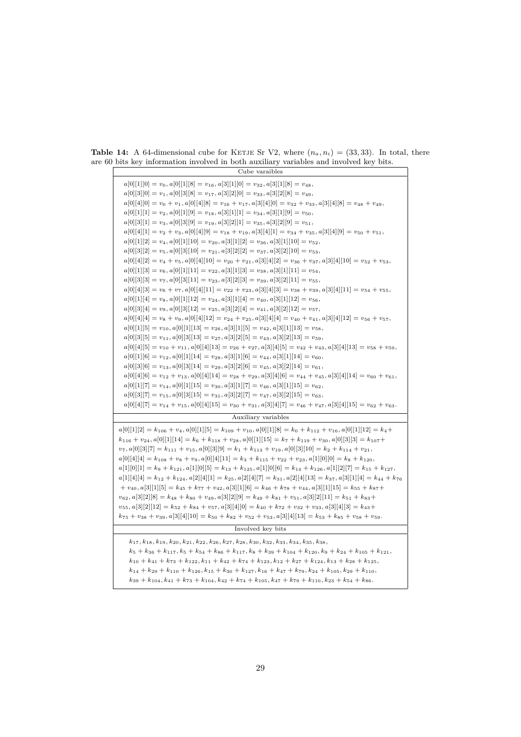Cube varaibles  $a[0][1][0] = v_0, a[0][1][8] = v_{16}, a[3][1][0] = v_{32}, a[3][1][8] = v_{48},$  $a[0][3][0] = v_1, a[0][3][8] = v_17, a[3][2][0] = v_{33}, a[3][2][8] = v_{49},$  $a[0][4][0] = v_0 + v_1, a[0][4][8] = v_{16} + v_{17}, a[3][4][0] = v_{32} + v_{33}, a[3][4][8] = v_{48} + v_{49},$  $a[0][1][1] = v_2, a[0][1][9] = v_{18}, a[3][1][1] = v_{34}, a[3][1][9] = v_{50},$  $a[0][3][1] = v_3$ ,  $a[0][3][9] = v_{19}$ ,  $a[3][2][1] = v_{35}$ ,  $a[3][2][9] = v_{51}$ ,  $a[0][4][1] = v_2 + v_3, a[0][4][9] = v_{18} + v_{19}, a[3][4][1] = v_{34} + v_{35}, a[3][4][9] = v_{50} + v_{51},$  $a[0][1][2] = v_4$ ,  $a[0][1][10] = v_{20}$ ,  $a[3][1][2] = v_{36}$ ,  $a[3][1][10] = v_{52}$ ,  $a[0][3][2] = v_5$ ,  $a[0][3][10] = v_{21}$ ,  $a[3][2][2] = v_{37}$ ,  $a[3][2][10] = v_{53}$ ,  $a[0][4][2] = v_4 + v_5, a[0][4][10] = v_{20} + v_{21}, a[3][4][2] = v_{36} + v_{37}, a[3][4][10] = v_{52} + v_{53},$  $a[0][1][3] = v_6, a[0][1][11] = v_{22}, a[3][1][3] = v_{38}, a[3][1][11] = v_{54},$  $a[0][3][3] = v_7$ ,  $a[0][3][11] = v_{23}$ ,  $a[3][2][3] = v_{39}$ ,  $a[3][2][11] = v_{55}$ ,  $a[0][4][3] = v_6 + v_7$ ,  $a[0][4][11] = v_{22} + v_{23}$ ,  $a[3][4][3] = v_{38} + v_{39}$ ,  $a[3][4][11] = v_{54} + v_{55}$ ,  $a[0][1][4] = v_8$ ,  $a[0][1][12] = v_{24}$ ,  $a[3][1][4] = v_{40}$ ,  $a[3][1][12] = v_{56}$ ,  $a[0][3][4] = v_9$ ,  $a[0][3][12] = v_{25}$ ,  $a[3][2][4] = v_{41}$ ,  $a[3][2][12] = v_{57}$ ,  $a[0][4][4] = v_8 + v_9, a[0][4][12] = v_{24} + v_{25}, a[3][4][4] = v_{40} + v_{41}, a[3][4][12] = v_{56} + v_{57},$  $a[0][1][5] = v_{10}, a[0][1][13] = v_{26}, a[3][1][5] = v_{42}, a[3][1][13] = v_{58},$  $a[0][3][5] = v_{11}, a[0][3][13] = v_{27}, a[3][2][5] = v_{43}, a[3][2][13] = v_{59},$  $a[0][4][5] = v_{10} + v_{11}$ ,  $a[0][4][13] = v_{26} + v_{27}$ ,  $a[3][4][5] = v_{42} + v_{43}$ ,  $a[3][4][13] = v_{58} + v_{59}$ ,  $a[0][1][6] = v_{12}, a[0][1][14] = v_{28}, a[3][1][6] = v_{44}, a[3][1][14] = v_{60},$  $a[0][3][6] = v_{13}, a[0][3][14] = v_{29}, a[3][2][6] = v_{45}, a[3][2][14] = v_{61},$  $a[0][4][6] = v_{12} + v_{13}, a[0][4][14] = v_{28} + v_{29}, a[3][4][6] = v_{44} + v_{45}, a[3][4][14] = v_{60} + v_{61},$  $a[0][1][7] = v_{14}, a[0][1][15] = v_{30}, a[3][1][7] = v_{46}, a[3][1][15] = v_{62},$  $a[0][3][7] = v_{15}, a[0][3][15] = v_{31}, a[3][2][7] = v_{47}, a[3][2][15] = v_{63},$  $a[0][4][7] = v_{14} + v_{15}, a[0][4][15] = v_{30} + v_{31}, a[3][4][7] = v_{46} + v_{47}, a[3][4][15] = v_{62} + v_{63}.$ Auxiliary variables  $a[0][1][2] = k_{106} + v_4, a[0][1][5] = k_{109} + v_{10}, a[0][1][8] = k_0 + k_{112} + v_{16}, a[0][1][12] = k_4 +$  $k_{116} + v_{24}$ ,  $a[0][1][14] = k_6 + k_{118} + v_{28}$ ,  $a[0][1][15] = k_7 + k_{119} + v_{30}$ ,  $a[0][3][3] = k_{107} +$  $v_7$ ,  $a[0][3][7] = k_{111} + v_{15}$ ,  $a[0][3][9] = k_1 + k_{113} + v_{19}$ ,  $a[0][3][10] = k_2 + k_{114} + v_{21}$ ,  $a[0][4][4] = k_{108} + v_8 + v_9, a[0][4][11] = k_3 + k_{115} + v_{22} + v_{23}, a[1][0][0] = k_8 + k_{120}$  $a[1][0][1] = k_9 + k_{121}, a[1][0][5] = k_{13} + k_{125}, a[1][0][6] = k_{14} + k_{126}, a[1][2][7] = k_{15} + k_{127}$  $a[1][4][4] = k_{12} + k_{124}$ ,  $a[2][4][1] = k_{25}$ ,  $a[2][4][7] = k_{31}$ ,  $a[2][4][13] = k_{37}$ ,  $a[3][1][4] = k_{44} + k_{76}$  $+v_{40}, a[3][1][5] = k_{45} + k_{77} + v_{42}, a[3][1][6] = k_{46} + k_{78} + v_{44}, a[3][1][15] = k_{55} + k_{87} +$  $v_{62}, a[3][2][8] = k_{48} + k_{80} + v_{49}, a[3][2][9] = k_{49} + k_{81} + v_{51}, a[3][2][11] = k_{51} + k_{83} +$  $v_{55}$ ,  $a[3][2][12] = k_{52} + k_{84} + v_{57}$ ,  $a[3][4][0] = k_{40} + k_{72} + v_{32} + v_{33}$ ,  $a[3][4][3] = k_{43} +$  $k_{75} + v_{38} + v_{39}$ ,  $a[3][4][10] = k_{50} + k_{82} + v_{52} + v_{53}$ ,  $a[3][4][13] = k_{53} + k_{85} + v_{58} + v_{59}$ . Involved key bits *k*17*, k*18*, k*19*, k*20*, k*21*, k*22*, k*26*, k*27*, k*28*, k*30*, k*32*, k*33*, k*34*, k*35*, k*38*,*  $k_5 + k_{36} + k_{117}$ ,  $k_5 + k_{54} + k_{86} + k_{117}$ ,  $k_8 + k_{39} + k_{104} + k_{120}$ ,  $k_9 + k_{24} + k_{105} + k_{121}$ ,  $k_{10} + k_{41} + k_{73} + k_{122}$ ,  $k_{11} + k_{42} + k_{74} + k_{123}$ ,  $k_{12} + k_{27} + k_{124}$ ,  $k_{13} + k_{28} + k_{125}$ ,  $k_{14} + k_{29} + k_{110} + k_{126}$ ,  $k_{15} + k_{30} + k_{127}$ ,  $k_{16} + k_{47} + k_{79}$ ,  $k_{24} + k_{105}$ ,  $k_{29} + k_{110}$ ,

<span id="page-28-0"></span>**Table 14:** A 64-dimensional cube for KETJE Sr V2, where  $(n_a, n_i) = (33, 33)$ . In total, there are 60 bits key information involved in both auxiliary variables and involved key bits.

 $k_{39} + k_{104}$ ,  $k_{41} + k_{73} + k_{104}$ ,  $k_{42} + k_{74} + k_{105}$ ,  $k_{47} + k_{79} + k_{110}$ ,  $k_{23} + k_{54} + k_{86}$ .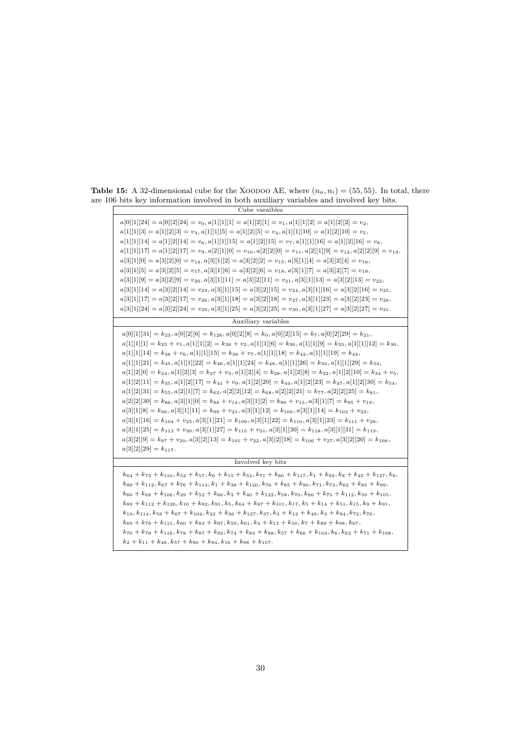| Cube varaibles                                                                                                                                                                                                                                                                                                                                                                                                                                                                                                                                                                                                                                                                                                                                                                                                                                                                                                                                                                                                                                                                                                                                                                                                                                                                                                                                                                                                                                                                 |
|--------------------------------------------------------------------------------------------------------------------------------------------------------------------------------------------------------------------------------------------------------------------------------------------------------------------------------------------------------------------------------------------------------------------------------------------------------------------------------------------------------------------------------------------------------------------------------------------------------------------------------------------------------------------------------------------------------------------------------------------------------------------------------------------------------------------------------------------------------------------------------------------------------------------------------------------------------------------------------------------------------------------------------------------------------------------------------------------------------------------------------------------------------------------------------------------------------------------------------------------------------------------------------------------------------------------------------------------------------------------------------------------------------------------------------------------------------------------------------|
| $a[0][1][24] = a[0][2][24] = v_0, a[1][1][1] = a[1][2][1] = v_1, a[1][1][2] = a[1][2][2] = v_2,$<br>$a[1][1][3] = a[1][2][3] = v_3$ , $a[1][1][5] = a[1][2][5] = v_4$ , $a[1][1][10] = a[1][2][10] = v_5$ ,<br>$a[1][1][14] = a[1][2][14] = v_6, a[1][1][15] = a[1][2][15] = v_7, a[1][1][16] = a[1][2][16] = v_8,$<br>$a[1][1][17] = a[1][2][17] = v_9, a[2][1][0] = v_{10}, a[2][2][0] = v_{11}, a[2][1][9] = v_{12}, a[2][2][9] = v_{13},$<br>$a[3][1][0] = a[3][2][0] = v_{14}, a[3][1][2] = a[3][2][2] = v_{15}, a[3][1][4] = a[3][2][4] = v_{16}$<br>$a[3][1][5] = a[3][2][5] = v_{17}, a[3][1][6] = a[3][2][6] = v_{18}, a[3][1][7] = a[3][2][7] = v_{19},$<br>$a[3][1][9] = a[3][2][9] = v_{20}, a[3][1][11] = a[3][2][11] = v_{21}, a[3][1][13] = a[3][2][13] = v_{22},$<br>$a[3][1][14] = a[3][2][14] = v_{23}, a[3][1][15] = a[3][2][15] = v_{24}, a[3][1][16] = a[3][2][16] = v_{25}$<br>$a[3][1][17] = a[3][2][17] = v_{26}, a[3][1][18] = a[3][2][18] = v_{27}, a[3][1][23] = a[3][2][23] = v_{28},$<br>$a[3][1][24] = a[3][2][24] = v_{29}, a[3][1][25] = a[3][2][25] = v_{30}, a[3][1][27] = a[3][2][27] = v_{31}.$                                                                                                                                                                                                                                                                                                                                            |
| Auxiliary variables                                                                                                                                                                                                                                                                                                                                                                                                                                                                                                                                                                                                                                                                                                                                                                                                                                                                                                                                                                                                                                                                                                                                                                                                                                                                                                                                                                                                                                                            |
| $a[0][1][31] = k_{23}, a[0][2][6] = k_{126}, a[0][2][8] = k_0, a[0][2][15] = k_7, a[0][2][29] = k_{21}$<br>$a[1][1][1] = k_{25} + v_1, a[1][1][2] = k_{26} + v_2, a[1][1][6] = k_{30}, a[1][1][9] = k_{33}, a[1][1][12] = k_{36},$<br>$a[1][1][14] = k_{38} + v_6, a[1][1][15] = k_{39} + v_7, a[1][1][18] = k_{42}, a[1][1][19] = k_{43},$<br>$a[1][1][21] = k_{45}, a[1][1][22] = k_{46}, a[1][1][24] = k_{48}, a[1][1][26] = k_{50}, a[1][1][29] = k_{53},$<br>$a[1][2][0] = k_{24}, a[1][2][3] = k_{27} + v_3, a[1][2][4] = k_{28}, a[1][2][8] = k_{32}, a[1][2][10] = k_{34} + v_5,$<br>$a[1][2][11] = k_{35}, a[1][2][17] = k_{41} + v_9, a[1][2][20] = k_{44}, a[1][2][23] = k_{47}, a[1][2][30] = k_{54}$<br>$a[1][2][31] = k_{55}, a[2][1][7] = k_{63}, a[2][2][12] = k_{68}, a[2][2][21] = k_{77}, a[2][2][25] = k_{81},$<br>$a[2][2][30] = k_{86}, a[3][1][0] = k_{88} + v_{14}, a[3][1][2] = k_{90} + v_{15}, a[3][1][7] = k_{95} + v_{19},$<br>$a[3][1][8] = k_{96}, a[3][1][11] = k_{99} + v_{21}, a[3][1][12] = k_{100}, a[3][1][14] = k_{102} + v_{23},$<br>$a[3][1][16] = k_{104} + v_{25}$ , $a[3][1][21] = k_{109}$ , $a[3][1][22] = k_{110}$ , $a[3][1][23] = k_{111} + v_{28}$ ,<br>$a[3][1][25] = k_{113} + v_{30}, a[3][1][27] = k_{115} + v_{31}, a[3][1][30] = k_{118}, a[3][1][31] = k_{119},$<br>$a[3][2][9] = k_{97} + v_{20}, a[3][2][13] = k_{101} + v_{22}, a[3][2][18] = k_{106} + v_{27}, a[3][2][20] = k_{108},$<br>$a[3][2][29] = k_{117}.$ |
| Involved key bits                                                                                                                                                                                                                                                                                                                                                                                                                                                                                                                                                                                                                                                                                                                                                                                                                                                                                                                                                                                                                                                                                                                                                                                                                                                                                                                                                                                                                                                              |
| $k_{64} + k_{73} + k_{110}$ , $k_{52} + k_{57}$ , $k_6 + k_{15} + k_{52}$ , $k_{71} + k_{80} + k_{117}$ , $k_1 + k_{92}$ , $k_8 + k_{45} + k_{127}$ , $k_8$ ,<br>$k_{89} + k_{112}$ , $k_{67} + k_{76} + k_{113}$ , $k_1 + k_{38} + k_{120}$ , $k_{76} + k_{85} + k_{90}$ , $k_{71}$ , $k_{73}$ , $k_{62} + k_{85} + k_{99}$ ,<br>$k_{60} + k_{69} + k_{106}$ , $k_{29} + k_{52} + k_{66}$ , $k_{3} + k_{40} + k_{122}$ , $k_{58}$ , $k_{70}$ , $k_{66} + k_{75} + k_{112}$ , $k_{59} + k_{105}$ ,<br>$k_{89} + k_{112} + k_{126}$ , $k_{10} + k_{92}$ , $k_{91}$ , $k_{5}$ , $k_{64} + k_{87} + k_{101}$ , $k_{17}$ , $k_{5} + k_{14} + k_{51}$ , $k_{15}$ , $k_{9} + k_{91}$ ,<br>$k_{19}, k_{114}, k_{58} + k_{67} + k_{104}, k_{22} + k_{36} + k_{127}, k_{37}, k_{3} + k_{12} + k_{49}, k_{3} + k_{94}, k_{72}, k_{76},$<br>$k_{69} + k_{78} + k_{115}$ , $k_{60} + k_{83} + k_{97}$ , $k_{59}$ , $k_{61}$ , $k_4 + k_{13} + k_{50}$ , $k_7 + k_{89} + k_{98}$ , $k_{67}$ ,<br>$k_{70} + k_{79} + k_{116}$ , $k_{78} + k_{87} + k_{92}$ , $k_{74} + k_{83} + k_{88}$ , $k_{57} + k_{66} + k_{103}$ , $k_6$ , $k_{62} + k_{71} + k_{108}$ ,<br>$k_2 + k_{11} + k_{48}, k_{57} + k_{80} + k_{94}, k_{16} + k_{98} + k_{107}.$                                                                                                                                                                                                                                               |

**Table 15:** A 32-dimensional cube for the XOODOO AE, where  $(n_a, n_i) = (55, 55)$ . In total, there are 106 bits key information involved in both auxiliary variables and involved key bits.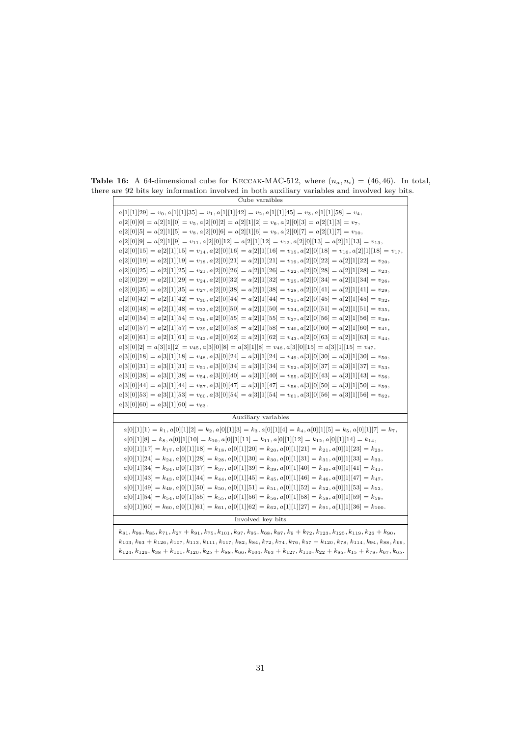| Cube varaibles                                                                                                                                                                                                                                                                                                                                                                                                                                                                                                                                                                                                                                                                                                                                                                                                                                                                                                                                                                                                                                                                                                                                                                                                                                                                                                                                                                                                                                                                                                                                                                                                                                                                                                                                                                                                                                                                                                                                                                                                                                                                                                                                                                                                                                                                                         |
|--------------------------------------------------------------------------------------------------------------------------------------------------------------------------------------------------------------------------------------------------------------------------------------------------------------------------------------------------------------------------------------------------------------------------------------------------------------------------------------------------------------------------------------------------------------------------------------------------------------------------------------------------------------------------------------------------------------------------------------------------------------------------------------------------------------------------------------------------------------------------------------------------------------------------------------------------------------------------------------------------------------------------------------------------------------------------------------------------------------------------------------------------------------------------------------------------------------------------------------------------------------------------------------------------------------------------------------------------------------------------------------------------------------------------------------------------------------------------------------------------------------------------------------------------------------------------------------------------------------------------------------------------------------------------------------------------------------------------------------------------------------------------------------------------------------------------------------------------------------------------------------------------------------------------------------------------------------------------------------------------------------------------------------------------------------------------------------------------------------------------------------------------------------------------------------------------------------------------------------------------------------------------------------------------------|
| $a[1][1][29] = v_0, a[1][1][35] = v_1, a[1][1][42] = v_2, a[1][1][45] = v_3, a[1][1][58] = v_4,$<br>$a[2][0][0] = a[2][1][0] = v_5, a[2][0][2] = a[2][1][2] = v_6, a[2][0][3] = a[2][1][3] = v_7,$<br>$a[2][0][5] = a[2][1][5] = v_8, a[2][0][6] = a[2][1][6] = v_9, a[2][0][7] = a[2][1][7] = v_{10},$<br>$a[2][0][9] = a[2][1][9] = v_{11}, a[2][0][12] = a[2][1][12] = v_{12}, a[2][0][13] = a[2][1][13] = v_{13},$<br>$a[2][0][15] = a[2][1][15] = v_{14}, a[2][0][16] = a[2][1][16] = v_{15}, a[2][0][18] = v_{16}, a[2][1][18] = v_{17}$<br>$a[2][0][19] = a[2][1][19] = v_{18}, a[2][0][21] = a[2][1][21] = v_{19}, a[2][0][22] = a[2][1][22] = v_{20},$<br>$a[2][0][25] = a[2][1][25] = v_{21}, a[2][0][26] = a[2][1][26] = v_{22}, a[2][0][28] = a[2][1][28] = v_{23},$<br>$a[2][0][29] = a[2][1][29] = v_{24}, a[2][0][32] = a[2][1][32] = v_{25}, a[2][0][34] = a[2][1][34] = v_{26},$<br>$a[2][0][35] = a[2][1][35] = v_{27}, a[2][0][38] = a[2][1][38] = v_{28}, a[2][0][41] = a[2][1][41] = v_{29}$<br>$a[2][0][42] = a[2][1][42] = v_{30}, a[2][0][44] = a[2][1][44] = v_{31}, a[2][0][45] = a[2][1][45] = v_{32},$<br>$a[2][0][48] = a[2][1][48] = v_{33}, a[2][0][50] = a[2][1][50] = v_{34}, a[2][0][51] = a[2][1][51] = v_{35},$<br>$a[2][0][54] = a[2][1][54] = v_{36}, a[2][0][55] = a[2][1][55] = v_{37}, a[2][0][56] = a[2][1][56] = v_{38},$<br>$a[2][0][57] = a[2][1][57] = v_{39}, a[2][0][58] = a[2][1][58] = v_{40}, a[2][0][60] = a[2][1][60] = v_{41},$<br>$a[2][0][61] = a[2][1][61] = v_{42}, a[2][0][62] = a[2][1][62] = v_{43}, a[2][0][63] = a[2][1][63] = v_{44},$<br>$a[3][0][2] = a[3][1][2] = v_{45}, a[3][0][8] = a[3][1][8] = v_{46}, a[3][0][15] = a[3][1][15] = v_{47}$<br>$a[3][0][18] = a[3][1][18] = v_{48}, a[3][0][24] = a[3][1][24] = v_{49}, a[3][0][30] = a[3][1][30] = v_{50},$<br>$a[3][0][31] = a[3][1][31] = v_{51}, a[3][0][34] = a[3][1][34] = v_{52}, a[3][0][37] = a[3][1][37] = v_{53},$<br>$a[3][0][38] = a[3][1][38] = v_{54}, a[3][0][40] = a[3][1][40] = v_{55}, a[3][0][43] = a[3][1][43] = v_{56}$<br>$a[3][0][44] = a[3][1][44] = v_{57}, a[3][0][47] = a[3][1][47] = v_{58}, a[3][0][50] = a[3][1][50] = v_{59},$<br>$a[3][0][53] = a[3][1][53] = v_{60}, a[3][0][54] = a[3][1][54] = v_{61}, a[3][0][56] = a[3][1][56] = v_{62},$ |
| $a[3][0][60] = a[3][1][60] = v_{63}.$                                                                                                                                                                                                                                                                                                                                                                                                                                                                                                                                                                                                                                                                                                                                                                                                                                                                                                                                                                                                                                                                                                                                                                                                                                                                                                                                                                                                                                                                                                                                                                                                                                                                                                                                                                                                                                                                                                                                                                                                                                                                                                                                                                                                                                                                  |
| Auxiliary variables                                                                                                                                                                                                                                                                                                                                                                                                                                                                                                                                                                                                                                                                                                                                                                                                                                                                                                                                                                                                                                                                                                                                                                                                                                                                                                                                                                                                                                                                                                                                                                                                                                                                                                                                                                                                                                                                                                                                                                                                                                                                                                                                                                                                                                                                                    |
| $a[0][1][1] = k_1, a[0][1][2] = k_2, a[0][1][3] = k_3, a[0][1][4] = k_4, a[0][1][5] = k_5, a[0][1][7] = k_7,$<br>$a[0][1][8] = k_8$ , $a[0][1][10] = k_{10}$ , $a[0][1][11] = k_{11}$ , $a[0][1][12] = k_{12}$ , $a[0][1][14] = k_{14}$ ,<br>$a[0][1][17] = k_17, a[0][1][18] = k_{18}, a[0][1][20] = k_{20}, a[0][1][21] = k_{21}, a[0][1][23] = k_{23},$<br>$a[0][1][24] = k_{24}, a[0][1][28] = k_{28}, a[0][1][30] = k_{30}, a[0][1][31] = k_{31}, a[0][1][33] = k_{33},$<br>$a[0][1][34] = k_{34}, a[0][1][37] = k_{37}, a[0][1][39] = k_{39}, a[0][1][40] = k_{40}, a[0][1][41] = k_{41},$<br>$a[0][1][43] = k_{43}, a[0][1][44] = k_{44}, a[0][1][45] = k_{45}, a[0][1][46] = k_{46}, a[0][1][47] = k_{47}$<br>$a[0][1][49] = k_{49}, a[0][1][50] = k_{50}, a[0][1][51] = k_{51}, a[0][1][52] = k_{52}, a[0][1][53] = k_{53},$<br>$a[0][1][54] = k_{54}, a[0][1][55] = k_{55}, a[0][1][56] = k_{56}, a[0][1][58] = k_{58}, a[0][1][59] = k_{59},$<br>$a[0][1][60] = k_{60}, a[0][1][61] = k_{61}, a[0][1][62] = k_{62}, a[1][1][27] = k_{91}, a[1][1][36] = k_{100}.$                                                                                                                                                                                                                                                                                                                                                                                                                                                                                                                                                                                                                                                                                                                                                                                                                                                                                                                                                                                                                                                                                                                                                                                                                           |
| Involved key bits                                                                                                                                                                                                                                                                                                                                                                                                                                                                                                                                                                                                                                                                                                                                                                                                                                                                                                                                                                                                                                                                                                                                                                                                                                                                                                                                                                                                                                                                                                                                                                                                                                                                                                                                                                                                                                                                                                                                                                                                                                                                                                                                                                                                                                                                                      |
| $k_{81}, k_{98}, k_{85}, k_{71}, k_{27} + k_{91}, k_{75}, k_{101}, k_{97}, k_{95}, k_{68}, k_{87}, k_{9} + k_{72}, k_{123}, k_{125}, k_{119}, k_{26} + k_{90}$<br>$k_{103}, k_{63} + k_{126}, k_{107}, k_{113}, k_{111}, k_{117}, k_{82}, k_{84}, k_{72}, k_{74}, k_{76}, k_{57} + k_{120}, k_{78}, k_{114}, k_{94}, k_{88}, k_{69},$                                                                                                                                                                                                                                                                                                                                                                                                                                                                                                                                                                                                                                                                                                                                                                                                                                                                                                                                                                                                                                                                                                                                                                                                                                                                                                                                                                                                                                                                                                                                                                                                                                                                                                                                                                                                                                                                                                                                                                  |

<span id="page-30-0"></span>**Table 16:** A 64-dimensional cube for KECCAK-MAC-512, where  $(n_a, n_i) = (46, 46)$ . In total, there are 92 bits key information involved in both auxiliary variables and involved key bits.

 $k_{124}, k_{126}, k_{38} + k_{101}, k_{120}, k_{25} + k_{88}, k_{66}, k_{104}, k_{63} + k_{127}, k_{110}, k_{22} + k_{85}, k_{15} + k_{78}, k_{67}, k_{65}$